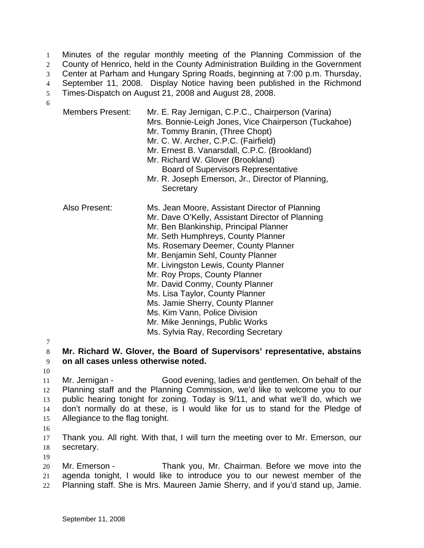Minutes of the regular monthly meeting of the Planning Commission of the County of Henrico, held in the County Administration Building in the Government Center at Parham and Hungary Spring Roads, beginning at 7:00 p.m. Thursday, September 11, 2008. Display Notice having been published in the Richmond Times-Dispatch on August 21, 2008 and August 28, 2008. 1 2 3 4 5 6

|               | <b>Members Present:</b> | Mr. E. Ray Jernigan, C.P.C., Chairperson (Varina)<br>Mrs. Bonnie-Leigh Jones, Vice Chairperson (Tuckahoe)<br>Mr. Tommy Branin, (Three Chopt)<br>Mr. C. W. Archer, C.P.C. (Fairfield)<br>Mr. Ernest B. Vanarsdall, C.P.C. (Brookland)<br>Mr. Richard W. Glover (Brookland)<br><b>Board of Supervisors Representative</b><br>Mr. R. Joseph Emerson, Jr., Director of Planning,<br>Secretary                                                                                                                                                                    |
|---------------|-------------------------|--------------------------------------------------------------------------------------------------------------------------------------------------------------------------------------------------------------------------------------------------------------------------------------------------------------------------------------------------------------------------------------------------------------------------------------------------------------------------------------------------------------------------------------------------------------|
| Also Present: |                         | Ms. Jean Moore, Assistant Director of Planning<br>Mr. Dave O'Kelly, Assistant Director of Planning<br>Mr. Ben Blankinship, Principal Planner<br>Mr. Seth Humphreys, County Planner<br>Ms. Rosemary Deemer, County Planner<br>Mr. Benjamin Sehl, County Planner<br>Mr. Livingston Lewis, County Planner<br>Mr. Roy Props, County Planner<br>Mr. David Conmy, County Planner<br>Ms. Lisa Taylor, County Planner<br>Ms. Jamie Sherry, County Planner<br>Ms. Kim Vann, Police Division<br>Mr. Mike Jennings, Public Works<br>Ms. Sylvia Ray, Recording Secretary |

7

8 9 **Mr. Richard W. Glover, the Board of Supervisors' representative, abstains on all cases unless otherwise noted.** 

10

11 12 13 14 15 Mr. Jernigan - Good evening, ladies and gentlemen. On behalf of the Planning staff and the Planning Commission, we'd like to welcome you to our public hearing tonight for zoning. Today is 9/11, and what we'll do, which we don't normally do at these, is I would like for us to stand for the Pledge of Allegiance to the flag tonight.

16

17 18 Thank you. All right. With that, I will turn the meeting over to Mr. Emerson, our secretary.

19

20 21 22 Mr. Emerson - Thank you, Mr. Chairman. Before we move into the agenda tonight, I would like to introduce you to our newest member of the Planning staff. She is Mrs. Maureen Jamie Sherry, and if you'd stand up, Jamie.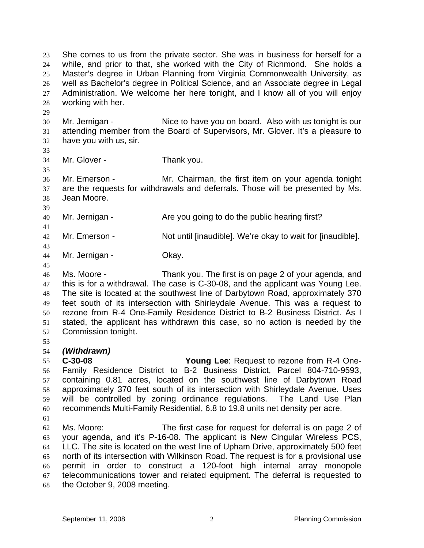She comes to us from the private sector. She was in business for herself for a while, and prior to that, she worked with the City of Richmond. She holds a Master's degree in Urban Planning from Virginia Commonwealth University, as well as Bachelor's degree in Political Science, and an Associate degree in Legal Administration. We welcome her here tonight, and I know all of you will enjoy working with her. 23 24 25 26 27 28

30 31 32 Mr. Jernigan - Nice to have you on board. Also with us tonight is our attending member from the Board of Supervisors, Mr. Glover. It's a pleasure to have you with us, sir.

33

35

41

43

45

29

34 Mr. Glover - Thank you.

36 37 38 39 Mr. Emerson - Mr. Chairman, the first item on your agenda tonight are the requests for withdrawals and deferrals. Those will be presented by Ms. Jean Moore.

40 Mr. Jernigan - The you going to do the public hearing first?

42 Mr. Emerson - Not until [inaudible]. We're okay to wait for [inaudible].

44 Mr. Jernigan - **Okay.** 

46 47 48 49 50 51 52 Ms. Moore - Thank you. The first is on page 2 of your agenda, and this is for a withdrawal. The case is C-30-08, and the applicant was Young Lee. The site is located at the southwest line of Darbytown Road, approximately 370 feet south of its intersection with Shirleydale Avenue. This was a request to rezone from R-4 One-Family Residence District to B-2 Business District. As I stated, the applicant has withdrawn this case, so no action is needed by the Commission tonight.

53

## 54 *(Withdrawn)*

55 56 57 58 59 60 **C-30-08 Young Lee**: Request to rezone from R-4 One-Family Residence District to B-2 Business District, Parcel 804-710-9593, containing 0.81 acres, located on the southwest line of Darbytown Road approximately 370 feet south of its intersection with Shirleydale Avenue. Uses will be controlled by zoning ordinance regulations. The Land Use Plan recommends Multi-Family Residential, 6.8 to 19.8 units net density per acre.

61

62 63 64 65 66 67 68 Ms. Moore: The first case for request for deferral is on page 2 of your agenda, and it's P-16-08. The applicant is New Cingular Wireless PCS, LLC. The site is located on the west line of Upham Drive, approximately 500 feet north of its intersection with Wilkinson Road. The request is for a provisional use permit in order to construct a 120-foot high internal array monopole telecommunications tower and related equipment. The deferral is requested to the October 9, 2008 meeting.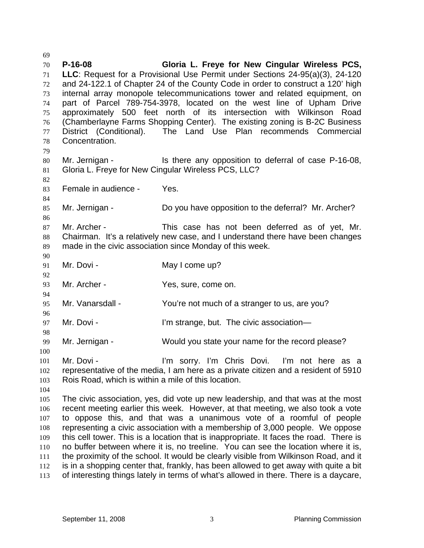70 71 72 73 74 75 76 77 78 79 80 81 82 83 84 85 86 87 88 89 90 91 92 93 94 95 96 97 98 99 100 101 102 103 104 105 106 107 108 109 110 111 112 113 **P-16-08 Gloria L. Freye for New Cingular Wireless PCS, LLC**: Request for a Provisional Use Permit under Sections 24-95(a)(3), 24-120 and 24-122.1 of Chapter 24 of the County Code in order to construct a 120' high internal array monopole telecommunications tower and related equipment, on part of Parcel 789-754-3978, located on the west line of Upham Drive approximately 500 feet north of its intersection with Wilkinson Road (Chamberlayne Farms Shopping Center). The existing zoning is B-2C Business District (Conditional). The Land Use Plan recommends Commercial Concentration. Mr. Jernigan - Is there any opposition to deferral of case P-16-08, Gloria L. Freye for New Cingular Wireless PCS, LLC? Female in audience - Yes. Mr. Jernigan - Do you have opposition to the deferral? Mr. Archer? Mr. Archer - This case has not been deferred as of yet, Mr. Chairman. It's a relatively new case, and I understand there have been changes made in the civic association since Monday of this week. Mr. Dovi - May I come up? Mr. Archer - Yes, sure, come on. Mr. Vanarsdall - You're not much of a stranger to us, are you? Mr. Dovi - I'm strange, but. The civic association— Mr. Jernigan - Would you state your name for the record please? Mr. Dovi - I'm sorry. I'm Chris Dovi. I'm not here as a representative of the media, I am here as a private citizen and a resident of 5910 Rois Road, which is within a mile of this location. The civic association, yes, did vote up new leadership, and that was at the most recent meeting earlier this week. However, at that meeting, we also took a vote to oppose this, and that was a unanimous vote of a roomful of people representing a civic association with a membership of 3,000 people. We oppose this cell tower. This is a location that is inappropriate. It faces the road. There is no buffer between where it is, no treeline. You can see the location where it is, the proximity of the school. It would be clearly visible from Wilkinson Road, and it is in a shopping center that, frankly, has been allowed to get away with quite a bit of interesting things lately in terms of what's allowed in there. There is a daycare,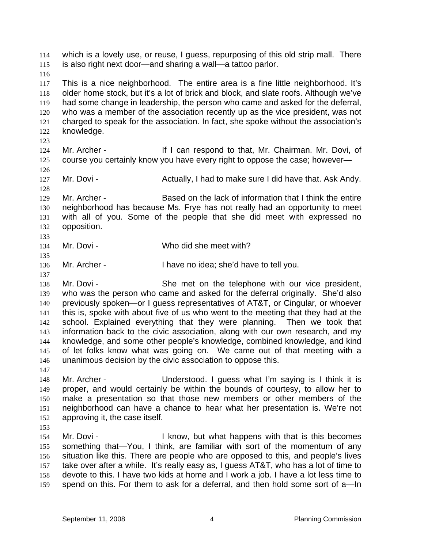which is a lovely use, or reuse, I guess, repurposing of this old strip mall. There is also right next door—and sharing a wall—a tattoo parlor. 114 115 116 117 118 119 120 121 122 123 124 125 126 127 128 129 130 131 132 133 134 135 136 137 138 139 140 141 142 143 144 145 146 147 148 149 150 151 152 153 154 155 156 157 158 159 This is a nice neighborhood. The entire area is a fine little neighborhood. It's older home stock, but it's a lot of brick and block, and slate roofs. Although we've had some change in leadership, the person who came and asked for the deferral, who was a member of the association recently up as the vice president, was not charged to speak for the association. In fact, she spoke without the association's knowledge. Mr. Archer - The Music of It I can respond to that, Mr. Chairman. Mr. Dovi, of course you certainly know you have every right to oppose the case; however— Mr. Dovi - **Actually, I had to make sure I did have that. Ask Andy.** Andy. Mr. Archer - Based on the lack of information that I think the entire neighborhood has because Ms. Frye has not really had an opportunity to meet with all of you. Some of the people that she did meet with expressed no opposition. Mr. Dovi - Who did she meet with? Mr. Archer - I have no idea; she'd have to tell you. Mr. Dovi - She met on the telephone with our vice president, who was the person who came and asked for the deferral originally. She'd also previously spoken—or I guess representatives of AT&T, or Cingular, or whoever this is, spoke with about five of us who went to the meeting that they had at the school. Explained everything that they were planning. Then we took that information back to the civic association, along with our own research, and my knowledge, and some other people's knowledge, combined knowledge, and kind of let folks know what was going on. We came out of that meeting with a unanimous decision by the civic association to oppose this. Mr. Archer - Understood. I guess what I'm saying is I think it is proper, and would certainly be within the bounds of courtesy, to allow her to make a presentation so that those new members or other members of the neighborhood can have a chance to hear what her presentation is. We're not approving it, the case itself. Mr. Dovi - The State of Licensia is the secomes I know, but what happens with that is this becomes something that—You, I think, are familiar with sort of the momentum of any situation like this. There are people who are opposed to this, and people's lives take over after a while. It's really easy as, I guess AT&T, who has a lot of time to devote to this. I have two kids at home and I work a job. I have a lot less time to spend on this. For them to ask for a deferral, and then hold some sort of a—In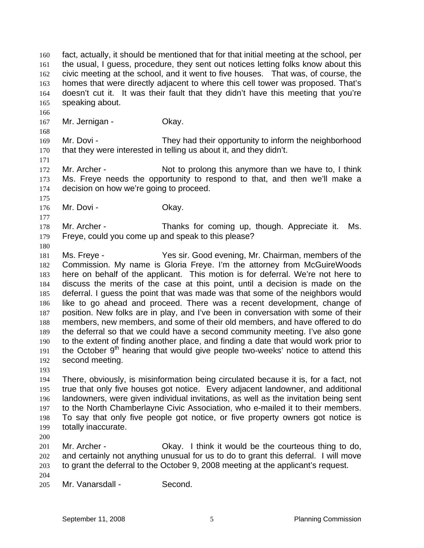fact, actually, it should be mentioned that for that initial meeting at the school, per the usual, I guess, procedure, they sent out notices letting folks know about this civic meeting at the school, and it went to five houses. That was, of course, the homes that were directly adjacent to where this cell tower was proposed. That's doesn't cut it. It was their fault that they didn't have this meeting that you're speaking about. 160 161 162 163 164 165

167 Mr. Jernigan - **Okay.** 

169 170 Mr. Dovi - They had their opportunity to inform the neighborhood that they were interested in telling us about it, and they didn't.

172 173 174 Mr. Archer - Not to prolong this anymore than we have to, I think Ms. Freye needs the opportunity to respond to that, and then we'll make a decision on how we're going to proceed.

176 Mr. Dovi - Chav.

178 179 Mr. Archer - Thanks for coming up, though. Appreciate it. Ms. Freye, could you come up and speak to this please?

181 182 183 184 185 186 187 188 189 190 191 192 Ms. Freye - Yes sir. Good evening, Mr. Chairman, members of the Commission. My name is Gloria Freye. I'm the attorney from McGuireWoods here on behalf of the applicant. This motion is for deferral. We're not here to discuss the merits of the case at this point, until a decision is made on the deferral. I guess the point that was made was that some of the neighbors would like to go ahead and proceed. There was a recent development, change of position. New folks are in play, and I've been in conversation with some of their members, new members, and some of their old members, and have offered to do the deferral so that we could have a second community meeting. I've also gone to the extent of finding another place, and finding a date that would work prior to the October  $9<sup>th</sup>$  hearing that would give people two-weeks' notice to attend this second meeting.

193

166

168

171

175

177

180

194 195 196 197 198 199 There, obviously, is misinformation being circulated because it is, for a fact, not true that only five houses got notice. Every adjacent landowner, and additional landowners, were given individual invitations, as well as the invitation being sent to the North Chamberlayne Civic Association, who e-mailed it to their members. To say that only five people got notice, or five property owners got notice is totally inaccurate.

200

201 202 203 204 Mr. Archer - Okay. I think it would be the courteous thing to do, and certainly not anything unusual for us to do to grant this deferral. I will move to grant the deferral to the October 9, 2008 meeting at the applicant's request.

205 Mr. Vanarsdall - Second.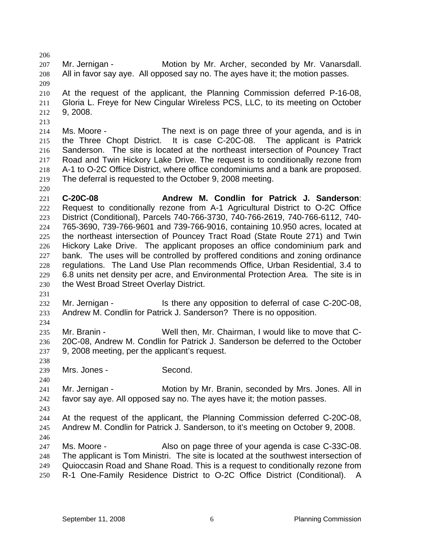207 208 Mr. Jernigan - **Motion by Mr. Archer, seconded by Mr. Vanarsdall.** All in favor say aye. All opposed say no. The ayes have it; the motion passes.

209 210 211 212 At the request of the applicant, the Planning Commission deferred P-16-08, Gloria L. Freye for New Cingular Wireless PCS, LLC, to its meeting on October 9, 2008.

214 215 216 217 218 219 Ms. Moore - The next is on page three of your agenda, and is in the Three Chopt District. It is case C-20C-08. The applicant is Patrick Sanderson. The site is located at the northeast intersection of Pouncey Tract Road and Twin Hickory Lake Drive. The request is to conditionally rezone from A-1 to O-2C Office District, where office condominiums and a bank are proposed. The deferral is requested to the October 9, 2008 meeting.

221 222 223 224 225 226 227 228 229 230 **C-20C-08 Andrew M. Condlin for Patrick J. Sanderson**: Request to conditionally rezone from A-1 Agricultural District to O-2C Office District (Conditional), Parcels 740-766-3730, 740-766-2619, 740-766-6112, 740- 765-3690, 739-766-9601 and 739-766-9016, containing 10.950 acres, located at the northeast intersection of Pouncey Tract Road (State Route 271) and Twin Hickory Lake Drive. The applicant proposes an office condominium park and bank. The uses will be controlled by proffered conditions and zoning ordinance regulations. The Land Use Plan recommends Office, Urban Residential, 3.4 to 6.8 units net density per acre, and Environmental Protection Area. The site is in the West Broad Street Overlay District.

231

206

213

220

232 233 Mr. Jernigan - Is there any opposition to deferral of case C-20C-08, Andrew M. Condlin for Patrick J. Sanderson? There is no opposition.

234

235 236 237 Mr. Branin - Well then, Mr. Chairman, I would like to move that C-20C-08, Andrew M. Condlin for Patrick J. Sanderson be deferred to the October 9, 2008 meeting, per the applicant's request.

238 239

240

Mrs. Jones - Second.

241 242 Mr. Jernigan - Motion by Mr. Branin, seconded by Mrs. Jones. All in favor say aye. All opposed say no. The ayes have it; the motion passes.

243

244 245 246 At the request of the applicant, the Planning Commission deferred C-20C-08, Andrew M. Condlin for Patrick J. Sanderson, to it's meeting on October 9, 2008.

247 248 249 250 Ms. Moore - Also on page three of your agenda is case C-33C-08. The applicant is Tom Ministri. The site is located at the southwest intersection of Quioccasin Road and Shane Road. This is a request to conditionally rezone from R-1 One-Family Residence District to O-2C Office District (Conditional). A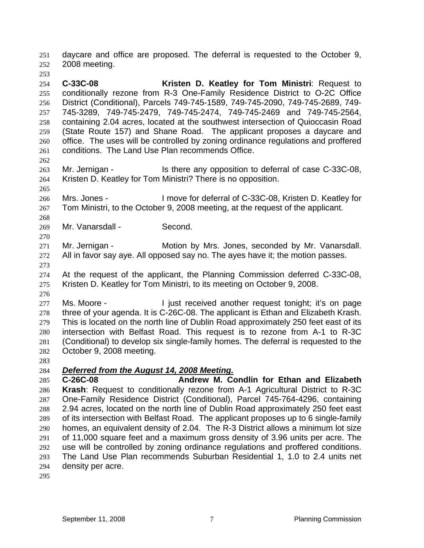daycare and office are proposed. The deferral is requested to the October 9, 2008 meeting. 251 252

254 255 256 257 258 259 260 261 **C-33C-08 Kristen D. Keatley for Tom Ministri**: Request to conditionally rezone from R-3 One-Family Residence District to O-2C Office District (Conditional), Parcels 749-745-1589, 749-745-2090, 749-745-2689, 749- 745-3289, 749-745-2479, 749-745-2474, 749-745-2469 and 749-745-2564, containing 2.04 acres, located at the southwest intersection of Quioccasin Road (State Route 157) and Shane Road. The applicant proposes a daycare and office. The uses will be controlled by zoning ordinance regulations and proffered conditions. The Land Use Plan recommends Office.

262

265

268

270

253

263 264 Mr. Jernigan - Is there any opposition to deferral of case C-33C-08, Kristen D. Keatley for Tom Ministri? There is no opposition.

266 267 Mrs. Jones - The Music Constant of C-33C-08, Kristen D. Keatley for Tom Ministri, to the October 9, 2008 meeting, at the request of the applicant.

269 Mr. Vanarsdall - Second.

271 272 Mr. Jernigan - Motion by Mrs. Jones, seconded by Mr. Vanarsdall. All in favor say aye. All opposed say no. The ayes have it; the motion passes.

273

276

274 275 At the request of the applicant, the Planning Commission deferred C-33C-08, Kristen D. Keatley for Tom Ministri, to its meeting on October 9, 2008.

277 278 279 280 281 282 Ms. Moore - The Unit received another request tonight; it's on page three of your agenda. It is C-26C-08. The applicant is Ethan and Elizabeth Krash. This is located on the north line of Dublin Road approximately 250 feet east of its intersection with Belfast Road. This request is to rezone from A-1 to R-3C (Conditional) to develop six single-family homes. The deferral is requested to the October 9, 2008 meeting.

283

## 284 *Deferred from the August 14, 2008 Meeting.*

285 286 287 288 289 290 291 292 293 294 **C-26C-08 Andrew M. Condlin for Ethan and Elizabeth Krash**: Request to conditionally rezone from A-1 Agricultural District to R-3C One-Family Residence District (Conditional), Parcel 745-764-4296, containing 2.94 acres, located on the north line of Dublin Road approximately 250 feet east of its intersection with Belfast Road. The applicant proposes up to 6 single-family homes, an equivalent density of 2.04. The R-3 District allows a minimum lot size of 11,000 square feet and a maximum gross density of 3.96 units per acre. The use will be controlled by zoning ordinance regulations and proffered conditions. The Land Use Plan recommends Suburban Residential 1, 1.0 to 2.4 units net density per acre.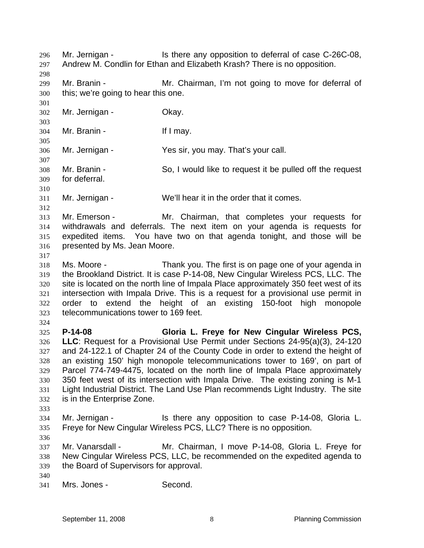Mr. Jernigan - Is there any opposition to deferral of case C-26C-08, Andrew M. Condlin for Ethan and Elizabeth Krash? There is no opposition. 296 297 298 299 300 301 302 303 304 305 306 307 308 309 310 311 312 313 314 315 316 317 318 319 320 321 322 323 324 325 326 327 328 329 330 331 332 333 334 335 336 337 338 339 340 341 Mr. Branin - **Mr. Chairman, I'm not going to move for deferral of** this; we're going to hear this one. Mr. Jernigan - **Okay.** Mr. Branin - If I may. Mr. Jernigan - Yes sir, you may. That's your call. Mr. Branin - So, I would like to request it be pulled off the request for deferral. Mr. Jernigan - We'll hear it in the order that it comes. Mr. Emerson - Mr. Chairman, that completes your requests for withdrawals and deferrals. The next item on your agenda is requests for expedited items. You have two on that agenda tonight, and those will be presented by Ms. Jean Moore. Ms. Moore - Thank you. The first is on page one of your agenda in the Brookland District. It is case P-14-08, New Cingular Wireless PCS, LLC. The site is located on the north line of Impala Place approximately 350 feet west of its intersection with Impala Drive. This is a request for a provisional use permit in order to extend the height of an existing 150-foot high monopole telecommunications tower to 169 feet. **P-14-08 Gloria L. Freye for New Cingular Wireless PCS, LLC**: Request for a Provisional Use Permit under Sections 24-95(a)(3), 24-120 and 24-122.1 of Chapter 24 of the County Code in order to extend the height of an existing 150' high monopole telecommunications tower to 169', on part of Parcel 774-749-4475, located on the north line of Impala Place approximately 350 feet west of its intersection with Impala Drive. The existing zoning is M-1 Light Industrial District. The Land Use Plan recommends Light Industry. The site is in the Enterprise Zone. Mr. Jernigan - The State any opposition to case P-14-08, Gloria L. Freye for New Cingular Wireless PCS, LLC? There is no opposition. Mr. Vanarsdall - Mr. Chairman, I move P-14-08, Gloria L. Freye for New Cingular Wireless PCS, LLC, be recommended on the expedited agenda to the Board of Supervisors for approval. Mrs. Jones - Second.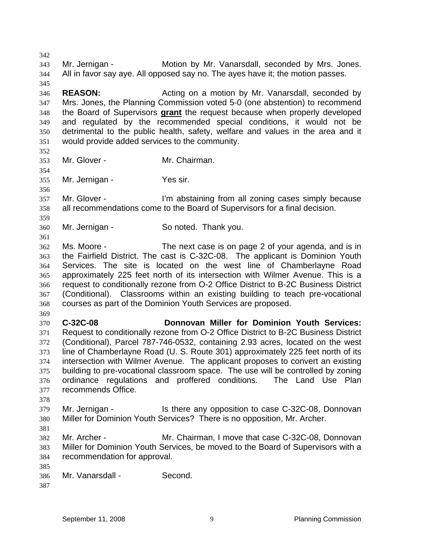343 344 345 346 347 Mr. Jernigan - **Motion by Mr. Vanarsdall, seconded by Mrs. Jones.** All in favor say aye. All opposed say no. The ayes have it; the motion passes. **REASON: Acting on a motion by Mr. Vanarsdall, seconded by REASON:** Mrs. Jones, the Planning Commission voted 5-0 (one abstention) to recommend the Board of Supervisors **grant** the request because when properly developed and regulated by the recommended special conditions, it would not be detrimental to the public health, safety, welfare and values in the area and it would provide added services to the community. 348 349 350 351 352 353 354 355 356 357 358 359 360 361 362 363 364 365 366 367 368 369 370 371 372 373 374 375 376 377 378 379 380 381 382 383 384 385 386 387 Mr. Glover - **Mr. Chairman.** Mr. Jernigan - Yes sir. Mr. Glover - I'm abstaining from all zoning cases simply because all recommendations come to the Board of Supervisors for a final decision. Mr. Jernigan - So noted. Thank you. Ms. Moore - The next case is on page 2 of your agenda, and is in the Fairfield District. The cast is C-32C-08. The applicant is Dominion Youth Services. The site is located on the west line of Chamberlayne Road approximately 225 feet north of its intersection with Wilmer Avenue. This is a request to conditionally rezone from O-2 Office District to B-2C Business District (Conditional). Classrooms within an existing building to teach pre-vocational courses as part of the Dominion Youth Services are proposed. **C-32C-08 Donnovan Miller for Dominion Youth Services:** Request to conditionally rezone from O-2 Office District to B-2C Business District (Conditional), Parcel 787-746-0532, containing 2.93 acres, located on the west line of Chamberlayne Road (U. S. Route 301) approximately 225 feet north of its intersection with Wilmer Avenue. The applicant proposes to convert an existing building to pre-vocational classroom space. The use will be controlled by zoning ordinance regulations and proffered conditions. The Land Use Plan recommends Office. Mr. Jernigan - The Stephen Is there any opposition to case C-32C-08, Donnovan Miller for Dominion Youth Services? There is no opposition, Mr. Archer. Mr. Archer - **Mr. Chairman, I move that case C-32C-08, Donnovan** Miller for Dominion Youth Services, be moved to the Board of Supervisors with a recommendation for approval. Mr. Vanarsdall - Second.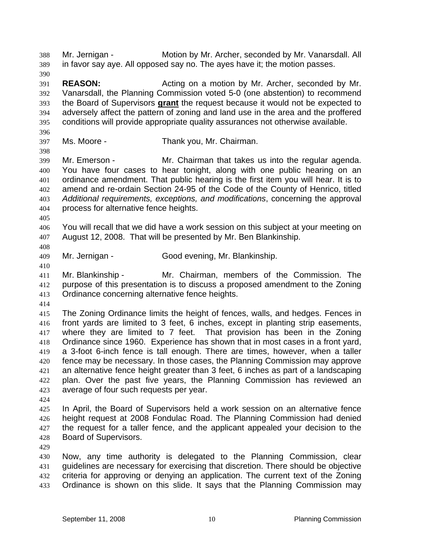Mr. Jernigan - Motion by Mr. Archer, seconded by Mr. Vanarsdall. All in favor say aye. All opposed say no. The ayes have it; the motion passes. 388 389 390 391 392 **REASON:** Acting on a motion by Mr. Archer, seconded by Mr. Vanarsdall, the Planning Commission voted 5-0 (one abstention) to recommend the Board of Supervisors **grant** the request because it would not be expected to adversely affect the pattern of zoning and land use in the area and the proffered conditions will provide appropriate quality assurances not otherwise available. 393 394 395 396 397 398 399 400 401 402 403 404 405 406 407 408 409 410 411 412 413 414 415 416 417 418 419 420 421 422 423 424 425 426 427 428 429 430 431 432 433 Ms. Moore - Thank you, Mr. Chairman. Mr. Emerson - Mr. Chairman that takes us into the regular agenda. You have four cases to hear tonight, along with one public hearing on an ordinance amendment. That public hearing is the first item you will hear. It is to amend and re-ordain Section 24-95 of the Code of the County of Henrico, titled *Additional requirements, exceptions, and modifications*, concerning the approval process for alternative fence heights. You will recall that we did have a work session on this subject at your meeting on August 12, 2008. That will be presented by Mr. Ben Blankinship. Mr. Jernigan - Good evening, Mr. Blankinship. Mr. Blankinship - Mr. Chairman, members of the Commission. The purpose of this presentation is to discuss a proposed amendment to the Zoning Ordinance concerning alternative fence heights. The Zoning Ordinance limits the height of fences, walls, and hedges. Fences in front yards are limited to 3 feet, 6 inches, except in planting strip easements, where they are limited to 7 feet. That provision has been in the Zoning Ordinance since 1960. Experience has shown that in most cases in a front yard, a 3-foot 6-inch fence is tall enough. There are times, however, when a taller fence may be necessary. In those cases, the Planning Commission may approve an alternative fence height greater than 3 feet, 6 inches as part of a landscaping plan. Over the past five years, the Planning Commission has reviewed an average of four such requests per year. In April, the Board of Supervisors held a work session on an alternative fence height request at 2008 Fondulac Road. The Planning Commission had denied the request for a taller fence, and the applicant appealed your decision to the Board of Supervisors. Now, any time authority is delegated to the Planning Commission, clear guidelines are necessary for exercising that discretion. There should be objective criteria for approving or denying an application. The current text of the Zoning Ordinance is shown on this slide. It says that the Planning Commission may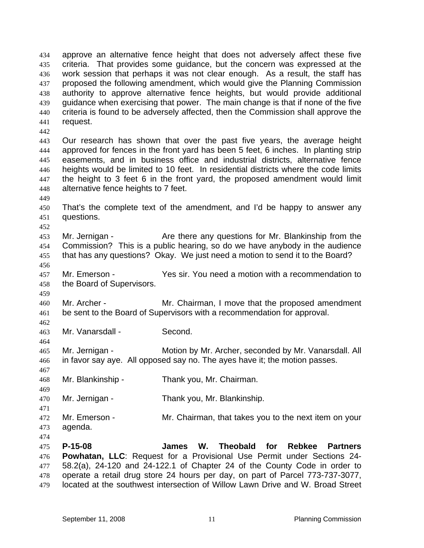approve an alternative fence height that does not adversely affect these five criteria. That provides some guidance, but the concern was expressed at the work session that perhaps it was not clear enough. As a result, the staff has proposed the following amendment, which would give the Planning Commission authority to approve alternative fence heights, but would provide additional guidance when exercising that power. The main change is that if none of the five criteria is found to be adversely affected, then the Commission shall approve the request. 434 435 436 437 438 439 440 441 442 443 444 445 446 447 448 449 450 451 452 453 454 455 456 457 458 459 460 461 462 463 464 465 466 467 468 469 470 471 472 473 474 475 476 477 478 Our research has shown that over the past five years, the average height approved for fences in the front yard has been 5 feet, 6 inches. In planting strip easements, and in business office and industrial districts, alternative fence heights would be limited to 10 feet. In residential districts where the code limits the height to 3 feet 6 in the front yard, the proposed amendment would limit alternative fence heights to 7 feet. That's the complete text of the amendment, and I'd be happy to answer any questions. Mr. Jernigan - The Are there any questions for Mr. Blankinship from the Commission? This is a public hearing, so do we have anybody in the audience that has any questions? Okay. We just need a motion to send it to the Board? Mr. Emerson - Yes sir. You need a motion with a recommendation to the Board of Supervisors. Mr. Archer - Mr. Chairman, I move that the proposed amendment be sent to the Board of Supervisors with a recommendation for approval. Mr. Vanarsdall - Second. Mr. Jernigan - Motion by Mr. Archer, seconded by Mr. Vanarsdall. All in favor say aye. All opposed say no. The ayes have it; the motion passes. Mr. Blankinship - Thank you, Mr. Chairman. Mr. Jernigan - Thank you, Mr. Blankinship. Mr. Emerson - Mr. Chairman, that takes you to the next item on your agenda. **P-15-08 James W. Theobald for Rebkee Partners Powhatan, LLC**: Request for a Provisional Use Permit under Sections 24- 58.2(a), 24-120 and 24-122.1 of Chapter 24 of the County Code in order to operate a retail drug store 24 hours per day, on part of Parcel 773-737-3077,

479 located at the southwest intersection of Willow Lawn Drive and W. Broad Street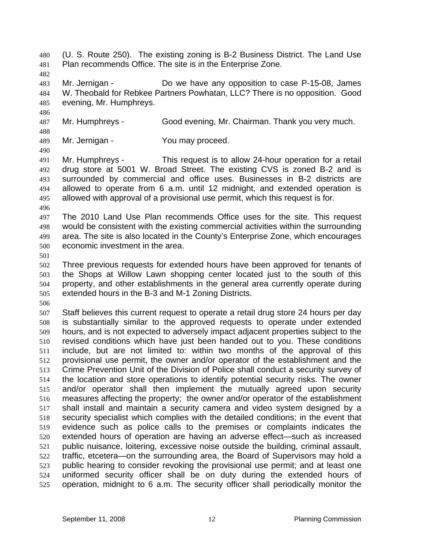(U. S. Route 250). The existing zoning is B-2 Business District. The Land Use Plan recommends Office. The site is in the Enterprise Zone. 480 481

483 484 485 Mr. Jernigan - Do we have any opposition to case P-15-08, James W. Theobald for Rebkee Partners Powhatan, LLC? There is no opposition. Good evening, Mr. Humphreys.

487 Mr. Humphreys - Good evening, Mr. Chairman. Thank you very much.

488 489 Mr. Jernigan - You may proceed.

490

482

486

491 492 493 494 495 Mr. Humphreys - This request is to allow 24-hour operation for a retail drug store at 5001 W. Broad Street. The existing CVS is zoned B-2 and is surrounded by commercial and office uses. Businesses in B-2 districts are allowed to operate from 6 a.m. until 12 midnight, and extended operation is allowed with approval of a provisional use permit, which this request is for.

496

497 498 499 500 The 2010 Land Use Plan recommends Office uses for the site. This request would be consistent with the existing commercial activities within the surrounding area. The site is also located in the County's Enterprise Zone, which encourages economic investment in the area.

501

502 503 504 505 Three previous requests for extended hours have been approved for tenants of the Shops at Willow Lawn shopping center located just to the south of this property, and other establishments in the general area currently operate during extended hours in the B-3 and M-1 Zoning Districts.

506

507 508 509 510 511 512 513 514 515 516 517 518 519 520 521 522 523 524 525 Staff believes this current request to operate a retail drug store 24 hours per day is substantially similar to the approved requests to operate under extended hours, and is not expected to adversely impact adjacent properties subject to the revised conditions which have just been handed out to you. These conditions include, but are not limited to: within two months of the approval of this provisional use permit, the owner and/or operator of the establishment and the Crime Prevention Unit of the Division of Police shall conduct a security survey of the location and store operations to identify potential security risks. The owner and/or operator shall then implement the mutually agreed upon security measures affecting the property; the owner and/or operator of the establishment shall install and maintain a security camera and video system designed by a security specialist which complies with the detailed conditions; in the event that evidence such as police calls to the premises or complaints indicates the extended hours of operation are having an adverse effect—such as increased public nuisance, loitering, excessive noise outside the building, criminal assault, traffic, etcetera—on the surrounding area, the Board of Supervisors may hold a public hearing to consider revoking the provisional use permit; and at least one uniformed security officer shall be on duty during the extended hours of operation, midnight to 6 a.m. The security officer shall periodically monitor the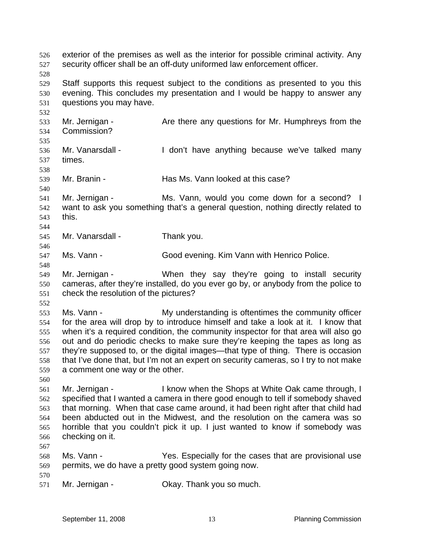exterior of the premises as well as the interior for possible criminal activity. Any security officer shall be an off-duty uniformed law enforcement officer. 526 527 528 529 530 531 532 533 534 535 536 537 538 539 540 541 542 543 544 545 546 547 548 549 550 551 552 553 554 555 556 557 558 559 560 561 562 563 564 565 566 567 568 569 570 571 Staff supports this request subject to the conditions as presented to you this evening. This concludes my presentation and I would be happy to answer any questions you may have. Mr. Jernigan - The Are there any questions for Mr. Humphreys from the Commission? Mr. Vanarsdall - I don't have anything because we've talked many times. Mr. Branin - **Has Ms. Vann looked at this case?** Mr. Jernigan - Ms. Vann, would you come down for a second? I want to ask you something that's a general question, nothing directly related to this. Mr. Vanarsdall - Thank you. Ms. Vann - **Good evening. Kim Vann with Henrico Police.** Mr. Jernigan - When they say they're going to install security cameras, after they're installed, do you ever go by, or anybody from the police to check the resolution of the pictures? Ms. Vann - The My understanding is oftentimes the community officer for the area will drop by to introduce himself and take a look at it. I know that when it's a required condition, the community inspector for that area will also go out and do periodic checks to make sure they're keeping the tapes as long as they're supposed to, or the digital images—that type of thing. There is occasion that I've done that, but I'm not an expert on security cameras, so I try to not make a comment one way or the other. Mr. Jernigan - I know when the Shops at White Oak came through, I specified that I wanted a camera in there good enough to tell if somebody shaved that morning. When that case came around, it had been right after that child had been abducted out in the Midwest, and the resolution on the camera was so horrible that you couldn't pick it up. I just wanted to know if somebody was checking on it. Ms. Vann - Yes. Especially for the cases that are provisional use permits, we do have a pretty good system going now. Mr. Jernigan - Ckay. Thank you so much.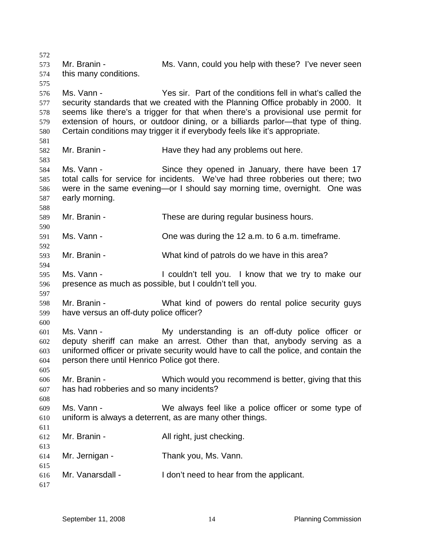572 573 574 575 576 577 578 579 580 581 582 583 584 585 586 587 588 589 590 591 592 593 594 595 596 597 598 599 600 601 602 603 604 605 606 607 608 609 610 611 612 613 614 615 616 617 Mr. Branin - **MS. Vann, could you help with these?** I've never seen this many conditions. Ms. Vann - Yes sir. Part of the conditions fell in what's called the security standards that we created with the Planning Office probably in 2000. It seems like there's a trigger for that when there's a provisional use permit for extension of hours, or outdoor dining, or a billiards parlor—that type of thing. Certain conditions may trigger it if everybody feels like it's appropriate. Mr. Branin - The Have they had any problems out here. Ms. Vann - Since they opened in January, there have been 17 total calls for service for incidents. We've had three robberies out there; two were in the same evening—or I should say morning time, overnight. One was early morning. Mr. Branin - These are during regular business hours. Ms. Vann - Chie was during the 12 a.m. to 6 a.m. timeframe. Mr. Branin - What kind of patrols do we have in this area? Ms. Vann - The Couldn't tell you. I know that we try to make our presence as much as possible, but I couldn't tell you. Mr. Branin - What kind of powers do rental police security guys have versus an off-duty police officer? Ms. Vann - The My understanding is an off-duty police officer or deputy sheriff can make an arrest. Other than that, anybody serving as a uniformed officer or private security would have to call the police, and contain the person there until Henrico Police got there. Mr. Branin - Which would you recommend is better, giving that this has had robberies and so many incidents? Ms. Vann - We always feel like a police officer or some type of uniform is always a deterrent, as are many other things. Mr. Branin - All right, just checking. Mr. Jernigan - Thank you, Ms. Vann. Mr. Vanarsdall - I don't need to hear from the applicant.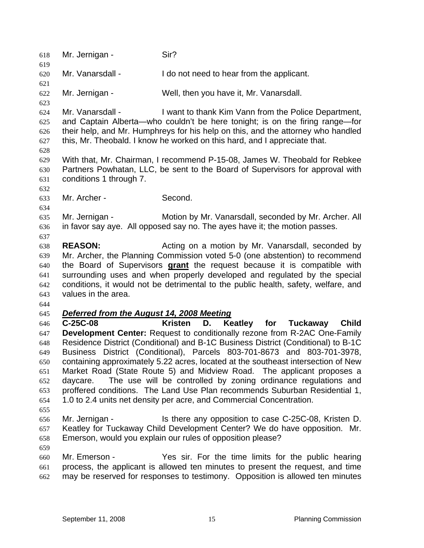| 618        | Mr. Jernigan -                            | Sir?                                                                                                                                                            |
|------------|-------------------------------------------|-----------------------------------------------------------------------------------------------------------------------------------------------------------------|
| 619<br>620 | Mr. Vanarsdall -                          | I do not need to hear from the applicant.                                                                                                                       |
| 621        |                                           |                                                                                                                                                                 |
| 622        | Mr. Jernigan -                            | Well, then you have it, Mr. Vanarsdall.                                                                                                                         |
| 623        |                                           |                                                                                                                                                                 |
| 624<br>625 | Mr. Vanarsdall -                          | I want to thank Kim Vann from the Police Department,<br>and Captain Alberta-who couldn't be here tonight; is on the firing range-for                            |
| 626        |                                           | their help, and Mr. Humphreys for his help on this, and the attorney who handled                                                                                |
| 627        |                                           | this, Mr. Theobald. I know he worked on this hard, and I appreciate that.                                                                                       |
| 628        |                                           | With that, Mr. Chairman, I recommend P-15-08, James W. Theobald for Rebkee                                                                                      |
| 629        |                                           | Partners Powhatan, LLC, be sent to the Board of Supervisors for approval with                                                                                   |
| 630<br>631 | conditions 1 through 7.                   |                                                                                                                                                                 |
| 632        |                                           |                                                                                                                                                                 |
| 633        | Mr. Archer -                              | Second.                                                                                                                                                         |
| 634        |                                           |                                                                                                                                                                 |
| 635        | Mr. Jernigan -                            | Motion by Mr. Vanarsdall, seconded by Mr. Archer. All                                                                                                           |
| 636        |                                           | in favor say aye. All opposed say no. The ayes have it; the motion passes.                                                                                      |
| 637        |                                           |                                                                                                                                                                 |
| 638        | <b>REASON:</b>                            | Acting on a motion by Mr. Vanarsdall, seconded by                                                                                                               |
| 639        |                                           | Mr. Archer, the Planning Commission voted 5-0 (one abstention) to recommend                                                                                     |
| 640        |                                           | the Board of Supervisors grant the request because it is compatible with                                                                                        |
| 641        |                                           | surrounding uses and when properly developed and regulated by the special                                                                                       |
| 642        |                                           | conditions, it would not be detrimental to the public health, safety, welfare, and                                                                              |
| 643        | values in the area.                       |                                                                                                                                                                 |
| 644        |                                           |                                                                                                                                                                 |
| 645        | Deferred from the August 14, 2008 Meeting |                                                                                                                                                                 |
| 646        | C-25C-08                                  | <b>Kristen</b><br>D.<br>Keatley for<br><b>Child</b><br><b>Tuckaway</b>                                                                                          |
| 647        |                                           | <b>Development Center:</b> Request to conditionally rezone from R-2AC One-Family                                                                                |
| 648        |                                           | Residence District (Conditional) and B-1C Business District (Conditional) to B-1C                                                                               |
| 649        |                                           | Business District (Conditional), Parcels 803-701-8673 and 803-701-3978,                                                                                         |
| 650        |                                           | containing approximately 5.22 acres, located at the southeast intersection of New                                                                               |
| 651        |                                           | Market Road (State Route 5) and Midview Road. The applicant proposes a                                                                                          |
| 652        | daycare.                                  | The use will be controlled by zoning ordinance regulations and                                                                                                  |
| 653        |                                           | proffered conditions. The Land Use Plan recommends Suburban Residential 1,                                                                                      |
| 654        |                                           | 1.0 to 2.4 units net density per acre, and Commercial Concentration.                                                                                            |
| 655        |                                           |                                                                                                                                                                 |
| 656        | Mr. Jernigan -                            | Is there any opposition to case C-25C-08, Kristen D.                                                                                                            |
| 657        |                                           | Keatley for Tuckaway Child Development Center? We do have opposition. Mr.                                                                                       |
| 658        |                                           | Emerson, would you explain our rules of opposition please?                                                                                                      |
| 659        |                                           |                                                                                                                                                                 |
| 660        | Mr. Emerson -                             | Yes sir. For the time limits for the public hearing                                                                                                             |
| 661<br>662 |                                           | process, the applicant is allowed ten minutes to present the request, and time<br>may be reserved for responses to testimony. Opposition is allowed ten minutes |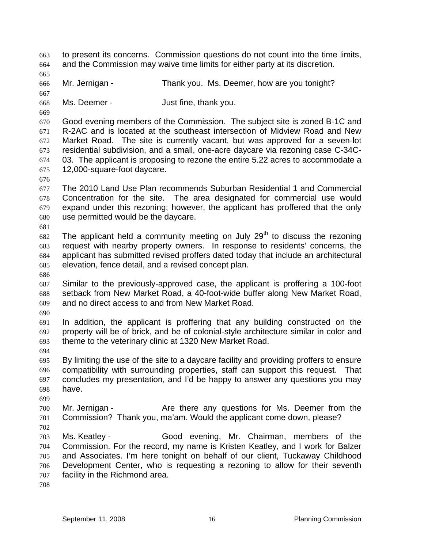to present its concerns. Commission questions do not count into the time limits, and the Commission may waive time limits for either party at its discretion. 663 664 665 666 667 668 669 670 671 672 673 674 675 676 677 678 679 680 681 682 683 684 685 686 687 688 689 690 691 692 693 694 695 696 697 698 699 700 701 702 703 704 705 706 707 708 Mr. Jernigan - Thank you. Ms. Deemer, how are you tonight? Ms. Deemer - The Soussettime, thank you. Good evening members of the Commission. The subject site is zoned B-1C and R-2AC and is located at the southeast intersection of Midview Road and New Market Road. The site is currently vacant, but was approved for a seven-lot residential subdivision, and a small, one-acre daycare via rezoning case C-34C-03. The applicant is proposing to rezone the entire 5.22 acres to accommodate a 12,000-square-foot daycare. The 2010 Land Use Plan recommends Suburban Residential 1 and Commercial Concentration for the site. The area designated for commercial use would expand under this rezoning; however, the applicant has proffered that the only use permitted would be the daycare. The applicant held a community meeting on July  $29<sup>th</sup>$  to discuss the rezoning request with nearby property owners. In response to residents' concerns, the applicant has submitted revised proffers dated today that include an architectural elevation, fence detail, and a revised concept plan. Similar to the previously-approved case, the applicant is proffering a 100-foot setback from New Market Road, a 40-foot-wide buffer along New Market Road, and no direct access to and from New Market Road. In addition, the applicant is proffering that any building constructed on the property will be of brick, and be of colonial-style architecture similar in color and theme to the veterinary clinic at 1320 New Market Road. By limiting the use of the site to a daycare facility and providing proffers to ensure compatibility with surrounding properties, staff can support this request. That concludes my presentation, and I'd be happy to answer any questions you may have. Mr. Jernigan - The Are there any questions for Ms. Deemer from the Commission? Thank you, ma'am. Would the applicant come down, please? Ms. Keatley - Good evening, Mr. Chairman, members of the Commission. For the record, my name is Kristen Keatley, and I work for Balzer and Associates. I'm here tonight on behalf of our client, Tuckaway Childhood Development Center, who is requesting a rezoning to allow for their seventh facility in the Richmond area.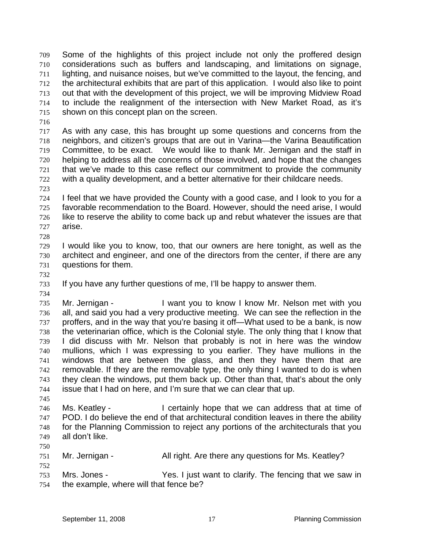Some of the highlights of this project include not only the proffered design considerations such as buffers and landscaping, and limitations on signage, lighting, and nuisance noises, but we've committed to the layout, the fencing, and the architectural exhibits that are part of this application. I would also like to point out that with the development of this project, we will be improving Midview Road to include the realignment of the intersection with New Market Road, as it's shown on this concept plan on the screen. 709 710 711 712 713 714 715

716

717 718 719 720 721 722 As with any case, this has brought up some questions and concerns from the neighbors, and citizen's groups that are out in Varina—the Varina Beautification Committee, to be exact. We would like to thank Mr. Jernigan and the staff in helping to address all the concerns of those involved, and hope that the changes that we've made to this case reflect our commitment to provide the community with a quality development, and a better alternative for their childcare needs.

723

724 725 726 727 I feel that we have provided the County with a good case, and I look to you for a favorable recommendation to the Board. However, should the need arise, I would like to reserve the ability to come back up and rebut whatever the issues are that arise.

- 729 730 731 I would like you to know, too, that our owners are here tonight, as well as the architect and engineer, and one of the directors from the center, if there are any questions for them.
- 732

734

745

752

728

733 If you have any further questions of me, I'll be happy to answer them.

735 736 737 738 739 740 741 742 743 744 Mr. Jernigan - I want you to know I know Mr. Nelson met with you all, and said you had a very productive meeting. We can see the reflection in the proffers, and in the way that you're basing it off—What used to be a bank, is now the veterinarian office, which is the Colonial style. The only thing that I know that I did discuss with Mr. Nelson that probably is not in here was the window mullions, which I was expressing to you earlier. They have mullions in the windows that are between the glass, and then they have them that are removable. If they are the removable type, the only thing I wanted to do is when they clean the windows, put them back up. Other than that, that's about the only issue that I had on here, and I'm sure that we can clear that up.

746 747 748 749 Ms. Keatley - I certainly hope that we can address that at time of POD. I do believe the end of that architectural condition leaves in there the ability for the Planning Commission to reject any portions of the architecturals that you all don't like.

750 751 Mr. Jernigan - All right. Are there any questions for Ms. Keatley?

753 754 Mrs. Jones - The Yes. I just want to clarify. The fencing that we saw in the example, where will that fence be?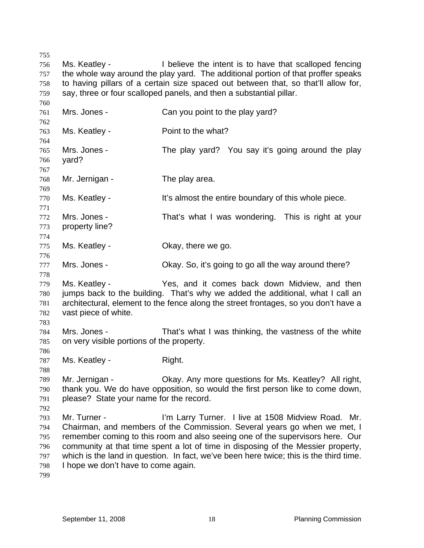755 756 757 758 759 Ms. Keatley - I believe the intent is to have that scalloped fencing the whole way around the play yard. The additional portion of that proffer speaks to having pillars of a certain size spaced out between that, so that'll allow for, say, three or four scalloped panels, and then a substantial pillar.

761 762 763 764 765 766 767 768 769 770 771 772 773 774 775 776 777 778 779 780 781 782 783 784 785 786 787 788 789 790 791 792 793 794 795 796 797 798 799 Mrs. Jones - Can you point to the play yard? Ms. Keatley - **Point to the what?** Mrs. Jones - The play yard? You say it's going around the play yard? Mr. Jernigan - The play area. Ms. Keatley - It's almost the entire boundary of this whole piece. Mrs. Jones - That's what I was wondering. This is right at your property line? Ms. Keatley - Ckay, there we go. Mrs. Jones - Okay. So, it's going to go all the way around there? Ms. Keatley - Yes, and it comes back down Midview, and then jumps back to the building. That's why we added the additional, what I call an architectural, element to the fence along the street frontages, so you don't have a vast piece of white. Mrs. Jones - That's what I was thinking, the vastness of the white on very visible portions of the property. Ms. Keatley - Right. Mr. Jernigan - Okay. Any more questions for Ms. Keatley? All right, thank you. We do have opposition, so would the first person like to come down, please? State your name for the record. Mr. Turner - The Tim Larry Turner. I live at 1508 Midview Road. Mr. Chairman, and members of the Commission. Several years go when we met, I remember coming to this room and also seeing one of the supervisors here. Our community at that time spent a lot of time in disposing of the Messier property, which is the land in question. In fact, we've been here twice; this is the third time. I hope we don't have to come again.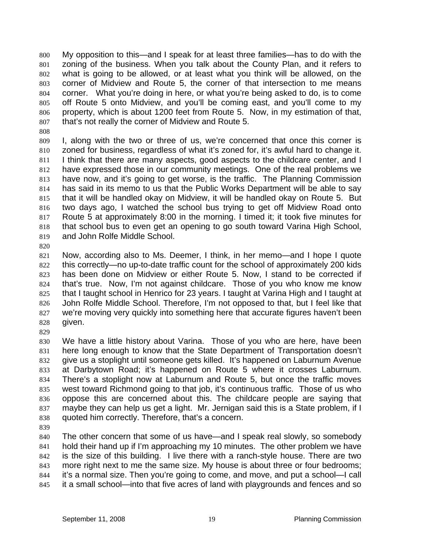My opposition to this—and I speak for at least three families—has to do with the zoning of the business. When you talk about the County Plan, and it refers to what is going to be allowed, or at least what you think will be allowed, on the corner of Midview and Route 5, the corner of that intersection to me means corner. What you're doing in here, or what you're being asked to do, is to come off Route 5 onto Midview, and you'll be coming east, and you'll come to my property, which is about 1200 feet from Route 5. Now, in my estimation of that, that's not really the corner of Midview and Route 5. 800 801 802 803 804 805 806 807

808

809 810 811 812 813 814 815 816 817 818 819 I, along with the two or three of us, we're concerned that once this corner is zoned for business, regardless of what it's zoned for, it's awful hard to change it. I think that there are many aspects, good aspects to the childcare center, and I have expressed those in our community meetings. One of the real problems we have now, and it's going to get worse, is the traffic. The Planning Commission has said in its memo to us that the Public Works Department will be able to say that it will be handled okay on Midview, it will be handled okay on Route 5. But two days ago, I watched the school bus trying to get off Midview Road onto Route 5 at approximately 8:00 in the morning. I timed it; it took five minutes for that school bus to even get an opening to go south toward Varina High School, and John Rolfe Middle School.

820

821 822 823 824 825 826 827 828 Now, according also to Ms. Deemer, I think, in her memo—and I hope I quote this correctly—no up-to-date traffic count for the school of approximately 200 kids has been done on Midview or either Route 5. Now, I stand to be corrected if that's true. Now, I'm not against childcare. Those of you who know me know that I taught school in Henrico for 23 years. I taught at Varina High and I taught at John Rolfe Middle School. Therefore, I'm not opposed to that, but I feel like that we're moving very quickly into something here that accurate figures haven't been given.

829

830 831 832 833 834 835 836 837 838 We have a little history about Varina. Those of you who are here, have been here long enough to know that the State Department of Transportation doesn't give us a stoplight until someone gets killed. It's happened on Laburnum Avenue at Darbytown Road; it's happened on Route 5 where it crosses Laburnum. There's a stoplight now at Laburnum and Route 5, but once the traffic moves west toward Richmond going to that job, it's continuous traffic. Those of us who oppose this are concerned about this. The childcare people are saying that maybe they can help us get a light. Mr. Jernigan said this is a State problem, if I quoted him correctly. Therefore, that's a concern.

839

840 841 842 843 844 845 The other concern that some of us have—and I speak real slowly, so somebody hold their hand up if I'm approaching my 10 minutes. The other problem we have is the size of this building. I live there with a ranch-style house. There are two more right next to me the same size. My house is about three or four bedrooms; it's a normal size. Then you're going to come, and move, and put a school—I call it a small school—into that five acres of land with playgrounds and fences and so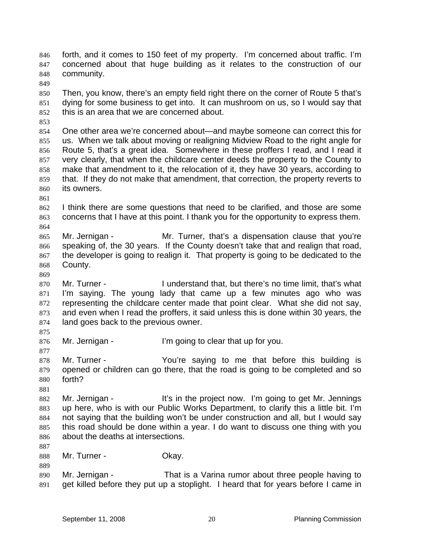forth, and it comes to 150 feet of my property. I'm concerned about traffic. I'm concerned about that huge building as it relates to the construction of our community. 846 847 848

849

850 851 852 Then, you know, there's an empty field right there on the corner of Route 5 that's dying for some business to get into. It can mushroom on us, so I would say that this is an area that we are concerned about.

853

854 855 856 857 858 859 860 One other area we're concerned about—and maybe someone can correct this for us. When we talk about moving or realigning Midview Road to the right angle for Route 5, that's a great idea. Somewhere in these proffers I read, and I read it very clearly, that when the childcare center deeds the property to the County to make that amendment to it, the relocation of it, they have 30 years, according to that. If they do not make that amendment, that correction, the property reverts to its owners.

861

864

869

862 863 I think there are some questions that need to be clarified, and those are some concerns that I have at this point. I thank you for the opportunity to express them.

865 866 867 868 Mr. Jernigan - The Mr. Turner, that's a dispensation clause that you're speaking of, the 30 years. If the County doesn't take that and realign that road, the developer is going to realign it. That property is going to be dedicated to the County.

870 871 872 873 874 Mr. Turner - I understand that, but there's no time limit, that's what I'm saying. The young lady that came up a few minutes ago who was representing the childcare center made that point clear. What she did not say, and even when I read the proffers, it said unless this is done within 30 years, the land goes back to the previous owner.

875 876

877

Mr. Jernigan - I'm going to clear that up for you.

878 879 880 Mr. Turner - You're saying to me that before this building is opened or children can go there, that the road is going to be completed and so forth?

881

887

889

882 883 884 885 886 Mr. Jernigan - It's in the project now. I'm going to get Mr. Jennings up here, who is with our Public Works Department, to clarify this a little bit. I'm not saying that the building won't be under construction and all, but I would say this road should be done within a year. I do want to discuss one thing with you about the deaths at intersections.

888 Mr. Turner - Chay.

890 891 Mr. Jernigan - That is a Varina rumor about three people having to get killed before they put up a stoplight. I heard that for years before I came in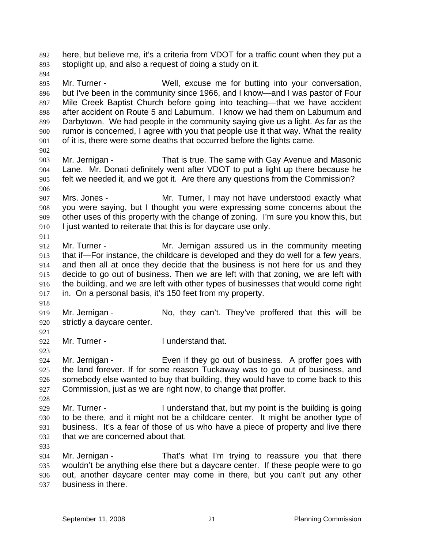here, but believe me, it's a criteria from VDOT for a traffic count when they put a stoplight up, and also a request of doing a study on it. 892 893

894

895 896 897 898 899 900 901 Mr. Turner - Well, excuse me for butting into your conversation, but I've been in the community since 1966, and I know—and I was pastor of Four Mile Creek Baptist Church before going into teaching—that we have accident after accident on Route 5 and Laburnum. I know we had them on Laburnum and Darbytown. We had people in the community saying give us a light. As far as the rumor is concerned, I agree with you that people use it that way. What the reality of it is, there were some deaths that occurred before the lights came.

902 903 904 905 906 Mr. Jernigan - That is true. The same with Gay Avenue and Masonic Lane. Mr. Donati definitely went after VDOT to put a light up there because he felt we needed it, and we got it. Are there any questions from the Commission?

907 908 909 910 Mrs. Jones - The Mr. Turner, I may not have understood exactly what you were saying, but I thought you were expressing some concerns about the other uses of this property with the change of zoning. I'm sure you know this, but I just wanted to reiterate that this is for daycare use only.

912 913 914 915 916 917 Mr. Turner - Mr. Jernigan assured us in the community meeting that if—For instance, the childcare is developed and they do well for a few years, and then all at once they decide that the business is not here for us and they decide to go out of business. Then we are left with that zoning, we are left with the building, and we are left with other types of businesses that would come right in. On a personal basis, it's 150 feet from my property.

918

911

919 920 Mr. Jernigan - No, they can't. They've proffered that this will be strictly a daycare center.

921

923

928

922 Mr. Turner - The Lunderstand that.

924 925 926 927 Mr. Jernigan - Even if they go out of business. A proffer goes with the land forever. If for some reason Tuckaway was to go out of business, and somebody else wanted to buy that building, they would have to come back to this Commission, just as we are right now, to change that proffer.

929 930 931 932 Mr. Turner - I understand that, but my point is the building is going to be there, and it might not be a childcare center. It might be another type of business. It's a fear of those of us who have a piece of property and live there that we are concerned about that.

933

934 935 936 937 Mr. Jernigan - That's what I'm trying to reassure you that there wouldn't be anything else there but a daycare center. If these people were to go out, another daycare center may come in there, but you can't put any other business in there.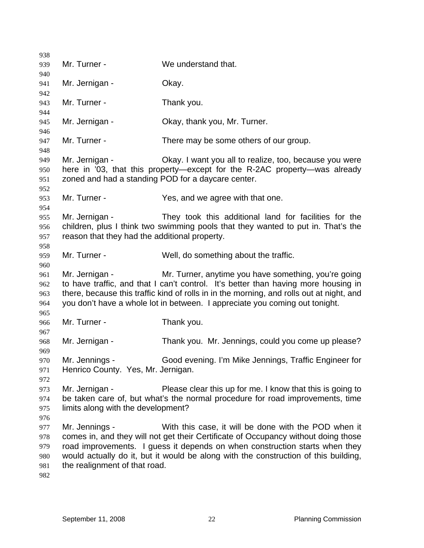| 938        |                                                    |                                                                                          |
|------------|----------------------------------------------------|------------------------------------------------------------------------------------------|
| 939        | Mr. Turner -                                       | We understand that.                                                                      |
| 940        |                                                    |                                                                                          |
| 941        | Mr. Jernigan -                                     | Okay.                                                                                    |
| 942        |                                                    |                                                                                          |
| 943        | Mr. Turner -                                       | Thank you.                                                                               |
| 944        |                                                    |                                                                                          |
| 945        | Mr. Jernigan -                                     | Okay, thank you, Mr. Turner.                                                             |
| 946        |                                                    |                                                                                          |
| 947        | Mr. Turner -                                       | There may be some others of our group.                                                   |
| 948<br>949 | Mr. Jernigan -                                     | Okay. I want you all to realize, too, because you were                                   |
| 950        |                                                    | here in '03, that this property—except for the R-2AC property—was already                |
| 951        | zoned and had a standing POD for a daycare center. |                                                                                          |
| 952        |                                                    |                                                                                          |
| 953        | Mr. Turner -                                       | Yes, and we agree with that one.                                                         |
| 954        |                                                    |                                                                                          |
| 955        | Mr. Jernigan -                                     | They took this additional land for facilities for the                                    |
| 956        |                                                    | children, plus I think two swimming pools that they wanted to put in. That's the         |
| 957        | reason that they had the additional property.      |                                                                                          |
| 958        |                                                    |                                                                                          |
| 959        | Mr. Turner -                                       | Well, do something about the traffic.                                                    |
| 960        |                                                    |                                                                                          |
| 961        | Mr. Jernigan -                                     | Mr. Turner, anytime you have something, you're going                                     |
| 962        |                                                    | to have traffic, and that I can't control. It's better than having more housing in       |
| 963        |                                                    | there, because this traffic kind of rolls in in the morning, and rolls out at night, and |
| 964        |                                                    | you don't have a whole lot in between. I appreciate you coming out tonight.              |
| 965        |                                                    |                                                                                          |
| 966        | Mr. Turner -                                       | Thank you.                                                                               |
| 967        |                                                    |                                                                                          |
| 968        | Mr. Jernigan -                                     | Thank you. Mr. Jennings, could you come up please?                                       |
| 969        | Mr. Jennings -                                     | Good evening. I'm Mike Jennings, Traffic Engineer for                                    |
| 970<br>971 | Henrico County. Yes, Mr. Jernigan.                 |                                                                                          |
| 972        |                                                    |                                                                                          |
| 973        | Mr. Jernigan -                                     | Please clear this up for me. I know that this is going to                                |
| 974        |                                                    | be taken care of, but what's the normal procedure for road improvements, time            |
| 975        | limits along with the development?                 |                                                                                          |
| 976        |                                                    |                                                                                          |
| 977        | Mr. Jennings -                                     | With this case, it will be done with the POD when it                                     |
| 978        |                                                    | comes in, and they will not get their Certificate of Occupancy without doing those       |
| 979        |                                                    | road improvements. I guess it depends on when construction starts when they              |
| 980        |                                                    | would actually do it, but it would be along with the construction of this building,      |
| 981        | the realignment of that road.                      |                                                                                          |
| 982        |                                                    |                                                                                          |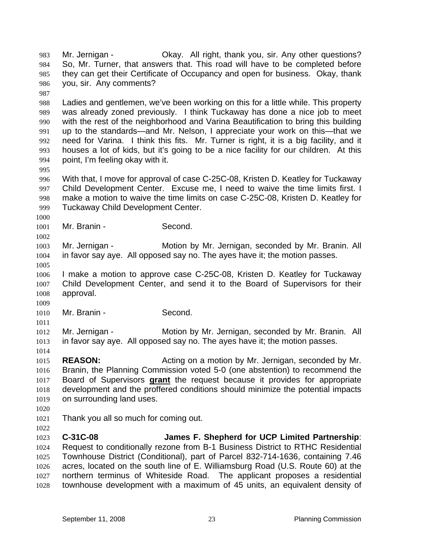Mr. Jernigan - Ckay. All right, thank you, sir. Any other questions? So, Mr. Turner, that answers that. This road will have to be completed before they can get their Certificate of Occupancy and open for business. Okay, thank you, sir. Any comments? 983 984 985 986 987 988 989 990 991 992 993 994 995 996 997 998 999 1000 1001 1002 1003 1004 1005 1006 1007 1008 1009 1010 1011 1012 1013 1014 1015 1016 Ladies and gentlemen, we've been working on this for a little while. This property was already zoned previously. I think Tuckaway has done a nice job to meet with the rest of the neighborhood and Varina Beautification to bring this building up to the standards—and Mr. Nelson, I appreciate your work on this—that we need for Varina. I think this fits. Mr. Turner is right, it is a big facility, and it houses a lot of kids, but it's going to be a nice facility for our children. At this point, I'm feeling okay with it. With that, I move for approval of case C-25C-08, Kristen D. Keatley for Tuckaway Child Development Center. Excuse me, I need to waive the time limits first. I make a motion to waive the time limits on case C-25C-08, Kristen D. Keatley for Tuckaway Child Development Center. Mr. Branin - Second. Mr. Jernigan - Motion by Mr. Jernigan, seconded by Mr. Branin. All in favor say aye. All opposed say no. The ayes have it; the motion passes. I make a motion to approve case C-25C-08, Kristen D. Keatley for Tuckaway Child Development Center, and send it to the Board of Supervisors for their approval. Mr. Branin - Second. Mr. Jernigan - **Motion by Mr. Jernigan, seconded by Mr. Branin.** All in favor say aye. All opposed say no. The ayes have it; the motion passes. **REASON:** Acting on a motion by Mr. Jernigan, seconded by Mr. Branin, the Planning Commission voted 5-0 (one abstention) to recommend the Board of Supervisors **grant** the request because it provides for appropriate development and the proffered conditions should minimize the potential impacts on surrounding land uses. 1017 1018 1019 1020 1021 1022 1023 1024 1025 1026 1027 1028 Thank you all so much for coming out. **C-31C-08 James F. Shepherd for UCP Limited Partnership**: Request to conditionally rezone from B-1 Business District to RTHC Residential Townhouse District (Conditional), part of Parcel 832-714-1636, containing 7.46 acres, located on the south line of E. Williamsburg Road (U.S. Route 60) at the northern terminus of Whiteside Road. The applicant proposes a residential townhouse development with a maximum of 45 units, an equivalent density of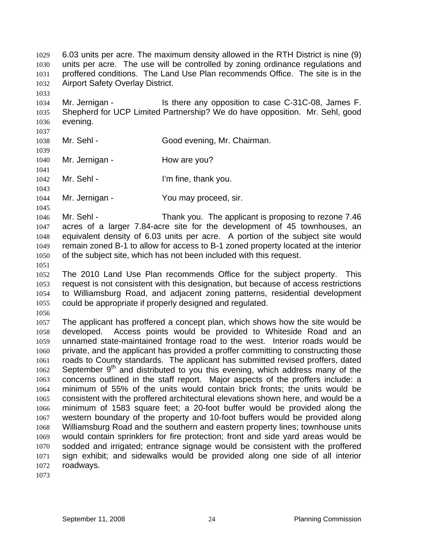6.03 units per acre. The maximum density allowed in the RTH District is nine (9) units per acre. The use will be controlled by zoning ordinance regulations and proffered conditions. The Land Use Plan recommends Office. The site is in the Airport Safety Overlay District. 1029 1030 1031 1032 1033

1034 1035 1036 Mr. Jernigan - Is there any opposition to case C-31C-08, James F. Shepherd for UCP Limited Partnership? We do have opposition. Mr. Sehl, good evening.

1037 1038

1039

1040 1041

1042

1045

1043 Mr. Sehl - I'm fine, thank you.

Mr. Jernigan - How are you?

1044 Mr. Jernigan - You may proceed, sir.

Mr. Sehl - Good evening, Mr. Chairman.

1046 1047 1048 1049 1050 Mr. Sehl - Thank you. The applicant is proposing to rezone 7.46 acres of a larger 7.84-acre site for the development of 45 townhouses, an equivalent density of 6.03 units per acre. A portion of the subject site would remain zoned B-1 to allow for access to B-1 zoned property located at the interior of the subject site, which has not been included with this request.

1051

1052 1053 1054 1055 The 2010 Land Use Plan recommends Office for the subject property. This request is not consistent with this designation, but because of access restrictions to Williamsburg Road, and adjacent zoning patterns, residential development could be appropriate if properly designed and regulated.

1056

1057 1058 1059 1060 1061 1062 1063 1064 1065 1066 1067 1068 1069 1070 1071 1072 The applicant has proffered a concept plan, which shows how the site would be developed. Access points would be provided to Whiteside Road and an unnamed state-maintained frontage road to the west. Interior roads would be private, and the applicant has provided a proffer committing to constructing those roads to County standards. The applicant has submitted revised proffers, dated September  $9<sup>th</sup>$  and distributed to you this evening, which address many of the concerns outlined in the staff report. Major aspects of the proffers include: a minimum of 55% of the units would contain brick fronts; the units would be consistent with the proffered architectural elevations shown here, and would be a minimum of 1583 square feet; a 20-foot buffer would be provided along the western boundary of the property and 10-foot buffers would be provided along Williamsburg Road and the southern and eastern property lines; townhouse units would contain sprinklers for fire protection; front and side yard areas would be sodded and irrigated; entrance signage would be consistent with the proffered sign exhibit; and sidewalks would be provided along one side of all interior roadways.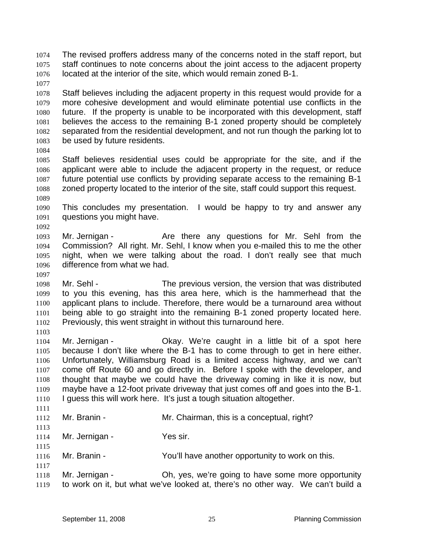The revised proffers address many of the concerns noted in the staff report, but staff continues to note concerns about the joint access to the adjacent property located at the interior of the site, which would remain zoned B-1. 1074 1075 1076

- 1078 1079 1080 1081 1082 1083 Staff believes including the adjacent property in this request would provide for a more cohesive development and would eliminate potential use conflicts in the future. If the property is unable to be incorporated with this development, staff believes the access to the remaining B-1 zoned property should be completely separated from the residential development, and not run though the parking lot to be used by future residents.
- 1084

1089

1092

1097

1111

1115

1117

1077

1085 1086 1087 1088 Staff believes residential uses could be appropriate for the site, and if the applicant were able to include the adjacent property in the request, or reduce future potential use conflicts by providing separate access to the remaining B-1 zoned property located to the interior of the site, staff could support this request.

- 1090 1091 This concludes my presentation. I would be happy to try and answer any questions you might have.
- 1093 1094 1095 1096 Mr. Jernigan - The Are there any questions for Mr. Sehl from the Commission? All right. Mr. Sehl, I know when you e-mailed this to me the other night, when we were talking about the road. I don't really see that much difference from what we had.
- 1098 1099 1100 1101 1102 1103 Mr. Sehl - The previous version, the version that was distributed to you this evening, has this area here, which is the hammerhead that the applicant plans to include. Therefore, there would be a turnaround area without being able to go straight into the remaining B-1 zoned property located here. Previously, this went straight in without this turnaround here.
- 1104 1105 1106 1107 1108 1109 1110 Mr. Jernigan - Ckay. We're caught in a little bit of a spot here because I don't like where the B-1 has to come through to get in here either. Unfortunately, Williamsburg Road is a limited access highway, and we can't come off Route 60 and go directly in. Before I spoke with the developer, and thought that maybe we could have the driveway coming in like it is now, but maybe have a 12-foot private driveway that just comes off and goes into the B-1. I guess this will work here. It's just a tough situation altogether.
- 1112 1113 Mr. Branin - **Mr. Chairman, this is a conceptual, right?**
- 1114 Mr. Jernigan - Yes sir.
- 1116 Mr. Branin - The You'll have another opportunity to work on this.
- 1118 1119 Mr. Jernigan - Oh, yes, we're going to have some more opportunity to work on it, but what we've looked at, there's no other way. We can't build a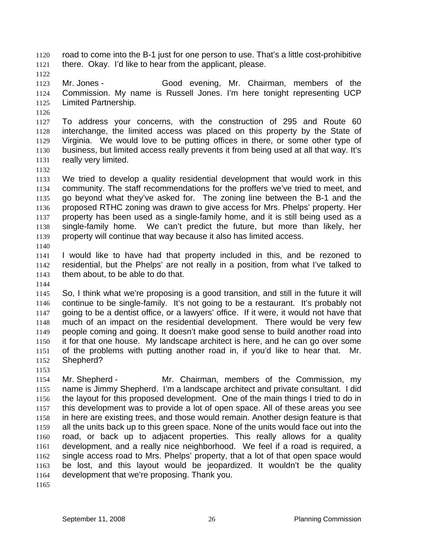road to come into the B-1 just for one person to use. That's a little cost-prohibitive there. Okay. I'd like to hear from the applicant, please. 1120 1121

1122

1123 1124 1125 Mr. Jones - Good evening, Mr. Chairman, members of the Commission. My name is Russell Jones. I'm here tonight representing UCP Limited Partnership.

1126

1127 1128 1129 1130 1131 To address your concerns, with the construction of 295 and Route 60 interchange, the limited access was placed on this property by the State of Virginia. We would love to be putting offices in there, or some other type of business, but limited access really prevents it from being used at all that way. It's really very limited.

1132

1133 1134 1135 1136 1137 1138 1139 We tried to develop a quality residential development that would work in this community. The staff recommendations for the proffers we've tried to meet, and go beyond what they've asked for. The zoning line between the B-1 and the proposed RTHC zoning was drawn to give access for Mrs. Phelps' property. Her property has been used as a single-family home, and it is still being used as a single-family home. We can't predict the future, but more than likely, her property will continue that way because it also has limited access.

1140

1141 1142 1143 I would like to have had that property included in this, and be rezoned to residential, but the Phelps' are not really in a position, from what I've talked to them about, to be able to do that.

1144

1145 1146 1147 1148 1149 1150 1151 1152 So, I think what we're proposing is a good transition, and still in the future it will continue to be single-family. It's not going to be a restaurant. It's probably not going to be a dentist office, or a lawyers' office. If it were, it would not have that much of an impact on the residential development. There would be very few people coming and going. It doesn't make good sense to build another road into it for that one house. My landscape architect is here, and he can go over some of the problems with putting another road in, if you'd like to hear that. Mr. Shepherd?

1153

1154 1155 1156 1157 1158 1159 1160 1161 1162 1163 1164 Mr. Shepherd - The Mr. Chairman, members of the Commission, my name is Jimmy Shepherd. I'm a landscape architect and private consultant. I did the layout for this proposed development. One of the main things I tried to do in this development was to provide a lot of open space. All of these areas you see in here are existing trees, and those would remain. Another design feature is that all the units back up to this green space. None of the units would face out into the road, or back up to adjacent properties. This really allows for a quality development, and a really nice neighborhood. We feel if a road is required, a single access road to Mrs. Phelps' property, that a lot of that open space would be lost, and this layout would be jeopardized. It wouldn't be the quality development that we're proposing. Thank you.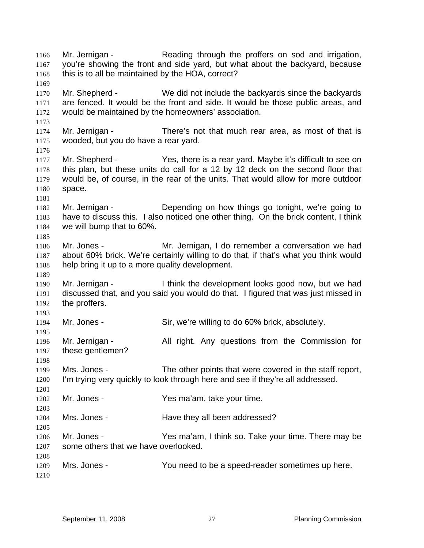Mr. Jernigan - Reading through the proffers on sod and irrigation, you're showing the front and side yard, but what about the backyard, because this is to all be maintained by the HOA, correct? 1166 1167 1168 1169 1170 1171 1172 1173 1174 1175 1176 1177 1178 1179 1180 1181 1182 1183 1184 1185 1186 1187 1188 1189 1190 1191 1192 1193 1194 1195 1196 1197 1198 1199 1200 1201 1202 1203 1204 1205 1206 1207 1208 1209 1210 Mr. Shepherd - We did not include the backyards since the backyards are fenced. It would be the front and side. It would be those public areas, and would be maintained by the homeowners' association. Mr. Jernigan - There's not that much rear area, as most of that is wooded, but you do have a rear yard. Mr. Shepherd - Yes, there is a rear yard. Maybe it's difficult to see on this plan, but these units do call for a 12 by 12 deck on the second floor that would be, of course, in the rear of the units. That would allow for more outdoor space. Mr. Jernigan - Depending on how things go tonight, we're going to have to discuss this. I also noticed one other thing. On the brick content, I think we will bump that to 60%. Mr. Jones - Mr. Jernigan, I do remember a conversation we had about 60% brick. We're certainly willing to do that, if that's what you think would help bring it up to a more quality development. Mr. Jernigan - I think the development looks good now, but we had discussed that, and you said you would do that. I figured that was just missed in the proffers. Mr. Jones - Sir, we're willing to do 60% brick, absolutely. Mr. Jernigan - The All right. Any questions from the Commission for these gentlemen? Mrs. Jones - The other points that were covered in the staff report, I'm trying very quickly to look through here and see if they're all addressed. Mr. Jones - Yes ma'am, take your time. Mrs. Jones - **Have they all been addressed?** Mr. Jones - The Muslim Chessian Messing Yes ma'am, I think so. Take your time. There may be some others that we have overlooked. Mrs. Jones - You need to be a speed-reader sometimes up here.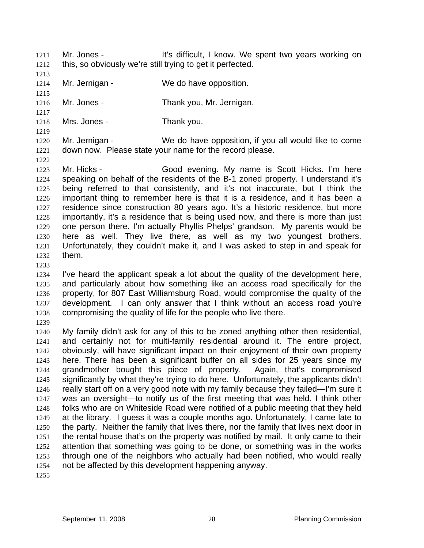1211

Mr. Jones - The Muslim School and The Muslim I know. We spent two years working on this, so obviously we're still trying to get it perfected.

1212 1213

1214 Mr. Jernigan - We do have opposition.

1215

1217

1219

1222

1216 Mr. Jones - Thank you, Mr. Jernigan.

1218 Mrs. Jones - Thank you.

1220 1221 Mr. Jernigan - We do have opposition, if you all would like to come down now. Please state your name for the record please.

1223 1224 1225 1226 1227 1228 1229 1230 1231 1232 Mr. Hicks - Good evening. My name is Scott Hicks. I'm here speaking on behalf of the residents of the B-1 zoned property. I understand it's being referred to that consistently, and it's not inaccurate, but I think the important thing to remember here is that it is a residence, and it has been a residence since construction 80 years ago. It's a historic residence, but more importantly, it's a residence that is being used now, and there is more than just one person there. I'm actually Phyllis Phelps' grandson. My parents would be here as well. They live there, as well as my two youngest brothers. Unfortunately, they couldn't make it, and I was asked to step in and speak for them.

1233

1234 1235 1236 1237 1238 I've heard the applicant speak a lot about the quality of the development here, and particularly about how something like an access road specifically for the property, for 807 East Williamsburg Road, would compromise the quality of the development. I can only answer that I think without an access road you're compromising the quality of life for the people who live there.

1239

1240 1241 1242 1243 1244 1245 1246 1247 1248 1249 1250 1251 1252 1253 1254 My family didn't ask for any of this to be zoned anything other then residential, and certainly not for multi-family residential around it. The entire project, obviously, will have significant impact on their enjoyment of their own property here. There has been a significant buffer on all sides for 25 years since my grandmother bought this piece of property. Again, that's compromised significantly by what they're trying to do here. Unfortunately, the applicants didn't really start off on a very good note with my family because they failed—I'm sure it was an oversight—to notify us of the first meeting that was held. I think other folks who are on Whiteside Road were notified of a public meeting that they held at the library. I guess it was a couple months ago. Unfortunately, I came late to the party. Neither the family that lives there, nor the family that lives next door in the rental house that's on the property was notified by mail. It only came to their attention that something was going to be done, or something was in the works through one of the neighbors who actually had been notified, who would really not be affected by this development happening anyway.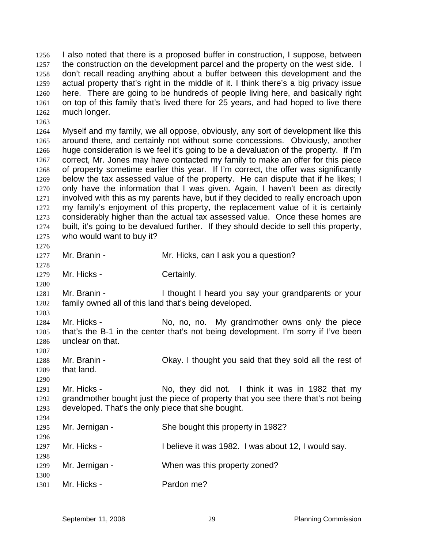I also noted that there is a proposed buffer in construction, I suppose, between the construction on the development parcel and the property on the west side. I don't recall reading anything about a buffer between this development and the actual property that's right in the middle of it. I think there's a big privacy issue here. There are going to be hundreds of people living here, and basically right on top of this family that's lived there for 25 years, and had hoped to live there much longer. 1256 1257 1258 1259 1260 1261 1262 1263

1264 1265 1266 1267 1268 1269 1270 1271 1272 1273 1274 1275 Myself and my family, we all oppose, obviously, any sort of development like this around there, and certainly not without some concessions. Obviously, another huge consideration is we feel it's going to be a devaluation of the property. If I'm correct, Mr. Jones may have contacted my family to make an offer for this piece of property sometime earlier this year. If I'm correct, the offer was significantly below the tax assessed value of the property. He can dispute that if he likes; I only have the information that I was given. Again, I haven't been as directly involved with this as my parents have, but if they decided to really encroach upon my family's enjoyment of this property, the replacement value of it is certainly considerably higher than the actual tax assessed value. Once these homes are built, it's going to be devalued further. If they should decide to sell this property, who would want to buy it?

1277 Mr. Branin - The Mr. Hicks, can I ask you a question?

1278 1279

1276

1280

1290

Mr. Hicks - Certainly.

1281 1282 1283 Mr. Branin - Thought I heard you say your grandparents or your family owned all of this land that's being developed.

1284 1285 1286 1287 Mr. Hicks - No, no, no. My grandmother owns only the piece that's the B-1 in the center that's not being development. I'm sorry if I've been unclear on that.

1288 1289 Mr. Branin - Ckay. I thought you said that they sold all the rest of that land.

1291 1292 1293  $1294$ Mr. Hicks - No, they did not. I think it was in 1982 that my grandmother bought just the piece of property that you see there that's not being developed. That's the only piece that she bought.

| .<br>1295<br>1296 | Mr. Jernigan - | She bought this property in 1982?                   |
|-------------------|----------------|-----------------------------------------------------|
| 1297              | Mr. Hicks -    | I believe it was 1982. I was about 12, I would say. |
| 1298<br>1299      | Mr. Jernigan - | When was this property zoned?                       |
| 1300<br>1301      | Mr. Hicks -    | Pardon me?                                          |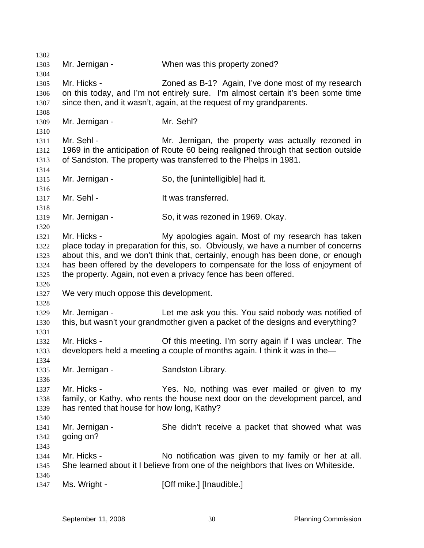1302 1303 1304 1305 1306 1307 1308 1309 1310 1311 1312 1313 1314 1315 1316 1317 1318 1319 1320 1321 1322 1323 1324 1325 1326 1327 1328 1329 1330 1331 1332 1333 1334 1335 1336 1337 1338 1339 1340 1341 1342 1343 1344 1345 1346 1347 Mr. Jernigan - When was this property zoned? Mr. Hicks - **Zoned as B-1?** Again, I've done most of my research on this today, and I'm not entirely sure. I'm almost certain it's been some time since then, and it wasn't, again, at the request of my grandparents. Mr. Jernigan - Mr. Sehl? Mr. Sehl - The Mr. Jernigan, the property was actually rezoned in 1969 in the anticipation of Route 60 being realigned through that section outside of Sandston. The property was transferred to the Phelps in 1981. Mr. Jernigan - So, the [unintelligible] had it. Mr. Sehl - The Sehl - It was transferred. Mr. Jernigan - So, it was rezoned in 1969. Okay. Mr. Hicks - **My apologies again.** Most of my research has taken place today in preparation for this, so. Obviously, we have a number of concerns about this, and we don't think that, certainly, enough has been done, or enough has been offered by the developers to compensate for the loss of enjoyment of the property. Again, not even a privacy fence has been offered. We very much oppose this development. Mr. Jernigan - The Let me ask you this. You said nobody was notified of this, but wasn't your grandmother given a packet of the designs and everything? Mr. Hicks - Of this meeting. I'm sorry again if I was unclear. The developers held a meeting a couple of months again. I think it was in the— Mr. Jernigan - Sandston Library. Mr. Hicks - The Yes. No, nothing was ever mailed or given to my family, or Kathy, who rents the house next door on the development parcel, and has rented that house for how long, Kathy? Mr. Jernigan - She didn't receive a packet that showed what was going on? Mr. Hicks - No notification was given to my family or her at all. She learned about it I believe from one of the neighbors that lives on Whiteside. Ms. Wright - [Off mike.] [Inaudible.]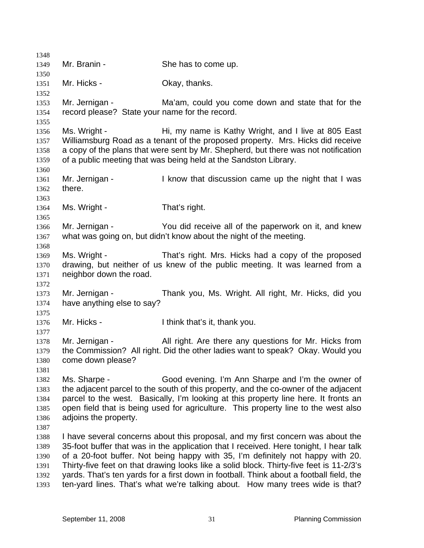1348 1349 1350 1351 1352 1353 1354 1355 1356 1357 1358 1359 1360 1361 1362 1363 1364 1365 1366 1367 1368 1369 1370 1371 1372 1373 1374 1375 1376 1377 1378 1379 1380 1381 1382 1383 1384 1385 1386 1387 1388 1389 1390 1391 1392 1393 Mr. Branin - She has to come up. Mr. Hicks - Chay, thanks. Mr. Jernigan - Ma'am, could you come down and state that for the record please? State your name for the record. Ms. Wright - Hi, my name is Kathy Wright, and I live at 805 East Williamsburg Road as a tenant of the proposed property. Mrs. Hicks did receive a copy of the plans that were sent by Mr. Shepherd, but there was not notification of a public meeting that was being held at the Sandston Library. Mr. Jernigan - I know that discussion came up the night that I was there. Ms. Wright - That's right. Mr. Jernigan - You did receive all of the paperwork on it, and knew what was going on, but didn't know about the night of the meeting. Ms. Wright - That's right. Mrs. Hicks had a copy of the proposed drawing, but neither of us knew of the public meeting. It was learned from a neighbor down the road. Mr. Jernigan - Thank you, Ms. Wright. All right, Mr. Hicks, did you have anything else to say? Mr. Hicks - Think that's it, thank you. Mr. Jernigan - All right. Are there any questions for Mr. Hicks from the Commission? All right. Did the other ladies want to speak? Okay. Would you come down please? Ms. Sharpe - Good evening. I'm Ann Sharpe and I'm the owner of the adjacent parcel to the south of this property, and the co-owner of the adjacent parcel to the west. Basically, I'm looking at this property line here. It fronts an open field that is being used for agriculture. This property line to the west also adjoins the property. I have several concerns about this proposal, and my first concern was about the 35-foot buffer that was in the application that I received. Here tonight, I hear talk of a 20-foot buffer. Not being happy with 35, I'm definitely not happy with 20. Thirty-five feet on that drawing looks like a solid block. Thirty-five feet is 11-2/3's yards. That's ten yards for a first down in football. Think about a football field, the ten-yard lines. That's what we're talking about. How many trees wide is that?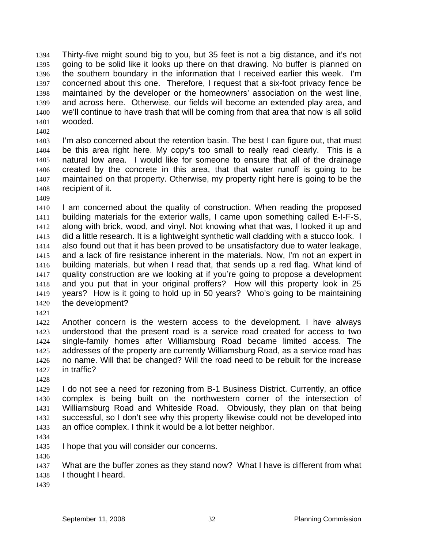Thirty-five might sound big to you, but 35 feet is not a big distance, and it's not going to be solid like it looks up there on that drawing. No buffer is planned on the southern boundary in the information that I received earlier this week. I'm concerned about this one. Therefore, I request that a six-foot privacy fence be maintained by the developer or the homeowners' association on the west line, and across here. Otherwise, our fields will become an extended play area, and we'll continue to have trash that will be coming from that area that now is all solid wooded. 1394 1395 1396 1397 1398 1399 1400 1401

1402

1403 1404 1405 1406 1407 1408 I'm also concerned about the retention basin. The best I can figure out, that must be this area right here. My copy's too small to really read clearly. This is a natural low area. I would like for someone to ensure that all of the drainage created by the concrete in this area, that that water runoff is going to be maintained on that property. Otherwise, my property right here is going to be the recipient of it.

1409

1410 1411 1412 1413 1414 1415 1416 1417 1418 1419 1420 I am concerned about the quality of construction. When reading the proposed building materials for the exterior walls, I came upon something called E-I-F-S, along with brick, wood, and vinyl. Not knowing what that was, I looked it up and did a little research. It is a lightweight synthetic wall cladding with a stucco look. I also found out that it has been proved to be unsatisfactory due to water leakage, and a lack of fire resistance inherent in the materials. Now, I'm not an expert in building materials, but when I read that, that sends up a red flag. What kind of quality construction are we looking at if you're going to propose a development and you put that in your original proffers? How will this property look in 25 years? How is it going to hold up in 50 years? Who's going to be maintaining the development?

1421

1422 1423 1424 1425 1426 1427 Another concern is the western access to the development. I have always understood that the present road is a service road created for access to two single-family homes after Williamsburg Road became limited access. The addresses of the property are currently Williamsburg Road, as a service road has no name. Will that be changed? Will the road need to be rebuilt for the increase in traffic?

1428

1429 1430 1431 1432 1433 I do not see a need for rezoning from B-1 Business District. Currently, an office complex is being built on the northwestern corner of the intersection of Williamsburg Road and Whiteside Road. Obviously, they plan on that being successful, so I don't see why this property likewise could not be developed into an office complex. I think it would be a lot better neighbor.

1434

1435 I hope that you will consider our concerns.

1436

1437 1438 What are the buffer zones as they stand now? What I have is different from what I thought I heard.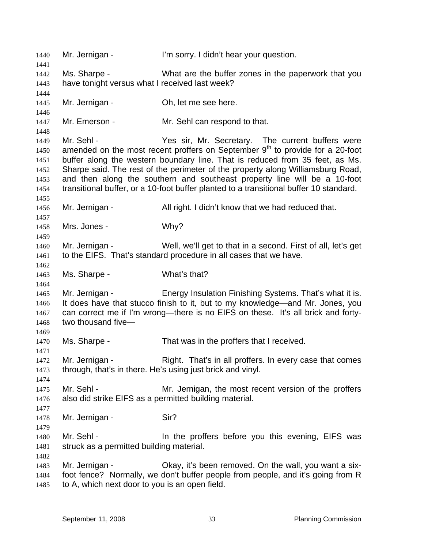1440 Mr. Jernigan - I'm sorry. I didn't hear your question. 1441 1442 1443 1444 1445 1446 1447 1448 1449 1450 1451 1452 1453 1454 1455 1456 1457 1458 1459 1460 1461 1462 1463 1464 1465 1466 1467 1468 1469 1470 1471 1472 1473 1474 1475 1476 1477 1478 1479 1480 1481 1482 1483 1484 1485 Ms. Sharpe - What are the buffer zones in the paperwork that you have tonight versus what I received last week? Mr. Jernigan - Ch, let me see here. Mr. Emerson - Mr. Sehl can respond to that. Mr. Sehl - Yes sir, Mr. Secretary. The current buffers were amended on the most recent proffers on September  $9<sup>th</sup>$  to provide for a 20-foot buffer along the western boundary line. That is reduced from 35 feet, as Ms. Sharpe said. The rest of the perimeter of the property along Williamsburg Road, and then along the southern and southeast property line will be a 10-foot transitional buffer, or a 10-foot buffer planted to a transitional buffer 10 standard. Mr. Jernigan - All right. I didn't know that we had reduced that. Mrs. Jones - Why? Mr. Jernigan - Well, we'll get to that in a second. First of all, let's get to the EIFS. That's standard procedure in all cases that we have. Ms. Sharpe - What's that? Mr. Jernigan - Energy Insulation Finishing Systems. That's what it is. It does have that stucco finish to it, but to my knowledge—and Mr. Jones, you can correct me if I'm wrong—there is no EIFS on these. It's all brick and fortytwo thousand five— Ms. Sharpe - That was in the proffers that I received. Mr. Jernigan - Right. That's in all proffers. In every case that comes through, that's in there. He's using just brick and vinyl. Mr. Sehl - Mr. Jernigan, the most recent version of the proffers also did strike EIFS as a permitted building material. Mr. Jernigan - Sir? Mr. Sehl - The In the proffers before you this evening, EIFS was struck as a permitted building material. Mr. Jernigan - Ckay, it's been removed. On the wall, you want a sixfoot fence? Normally, we don't buffer people from people, and it's going from R to A, which next door to you is an open field.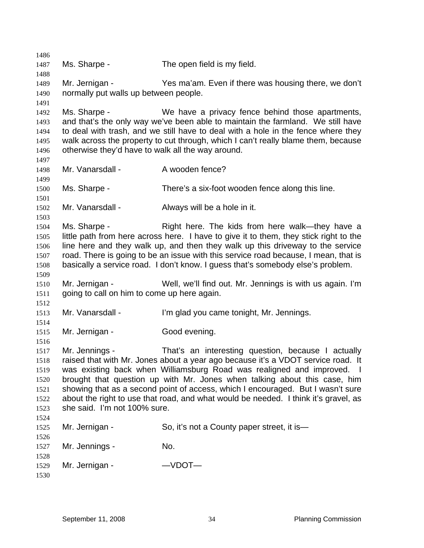1486 1487 1488 1489 1490 1491 1492 1493 1494 1495 1496 1497 1498 1499 1500 1501 1502 1503 1504 1505 1506 1507 1508 1509 1510 1511 1512 1513 1514 1515 1516 1517 1518 1519 1520 1521 1522 1523 1524 1525 1526 1527 1528 1529 1530 Ms. Sharpe - The open field is my field. Mr. Jernigan - Yes ma'am. Even if there was housing there, we don't normally put walls up between people. Ms. Sharpe - We have a privacy fence behind those apartments, and that's the only way we've been able to maintain the farmland. We still have to deal with trash, and we still have to deal with a hole in the fence where they walk across the property to cut through, which I can't really blame them, because otherwise they'd have to walk all the way around. Mr. Vanarsdall - A wooden fence? Ms. Sharpe - There's a six-foot wooden fence along this line. Mr. Vanarsdall - Always will be a hole in it. Ms. Sharpe - The Right here. The kids from here walk—they have a little path from here across here. I have to give it to them, they stick right to the line here and they walk up, and then they walk up this driveway to the service road. There is going to be an issue with this service road because, I mean, that is basically a service road. I don't know. I guess that's somebody else's problem. Mr. Jernigan - Well, we'll find out. Mr. Jennings is with us again. I'm going to call on him to come up here again. Mr. Vanarsdall - I'm glad you came tonight, Mr. Jennings. Mr. Jernigan - Good evening. Mr. Jennings - That's an interesting question, because I actually raised that with Mr. Jones about a year ago because it's a VDOT service road. It was existing back when Williamsburg Road was realigned and improved. I brought that question up with Mr. Jones when talking about this case, him showing that as a second point of access, which I encouraged. But I wasn't sure about the right to use that road, and what would be needed. I think it's gravel, as she said. I'm not 100% sure. Mr. Jernigan - So, it's not a County paper street, it is— Mr. Jennings - No. Mr. Jernigan - 
—VDOT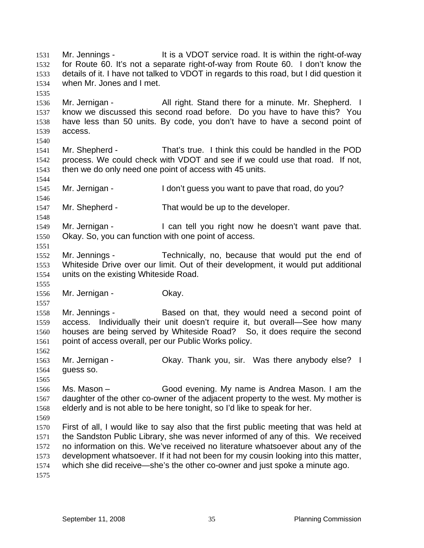Mr. Jennings - It is a VDOT service road. It is within the right-of-way for Route 60. It's not a separate right-of-way from Route 60. I don't know the details of it. I have not talked to VDOT in regards to this road, but I did question it when Mr. Jones and I met. 1531 1532 1533 1534 1535 1536 1537 1538 1539 1540 1541 1542 1543 1544 1545 1546 1547 1548 1549 1550 1551 1552 1553 1554 1555 1556 1557 1558 1559 1560 1561 1562 1563 1564 1565 1566 1567 1568 1569 1570 1571 1572 1573 1574 1575 Mr. Jernigan - All right. Stand there for a minute. Mr. Shepherd. I know we discussed this second road before. Do you have to have this? You have less than 50 units. By code, you don't have to have a second point of access. Mr. Shepherd - That's true. I think this could be handled in the POD process. We could check with VDOT and see if we could use that road. If not, then we do only need one point of access with 45 units. Mr. Jernigan - The I don't guess you want to pave that road, do you? Mr. Shepherd - That would be up to the developer. Mr. Jernigan - I can tell you right now he doesn't want pave that. Okay. So, you can function with one point of access. Mr. Jennings - Technically, no, because that would put the end of Whiteside Drive over our limit. Out of their development, it would put additional units on the existing Whiteside Road. Mr. Jernigan - **Okay.** Mr. Jennings - Based on that, they would need a second point of access. Individually their unit doesn't require it, but overall—See how many houses are being served by Whiteside Road? So, it does require the second point of access overall, per our Public Works policy. Mr. Jernigan - Chay. Thank you, sir. Was there anybody else? I guess so. Ms. Mason – Good evening. My name is Andrea Mason. I am the daughter of the other co-owner of the adjacent property to the west. My mother is elderly and is not able to be here tonight, so I'd like to speak for her. First of all, I would like to say also that the first public meeting that was held at the Sandston Public Library, she was never informed of any of this. We received no information on this. We've received no literature whatsoever about any of the development whatsoever. If it had not been for my cousin looking into this matter, which she did receive—she's the other co-owner and just spoke a minute ago.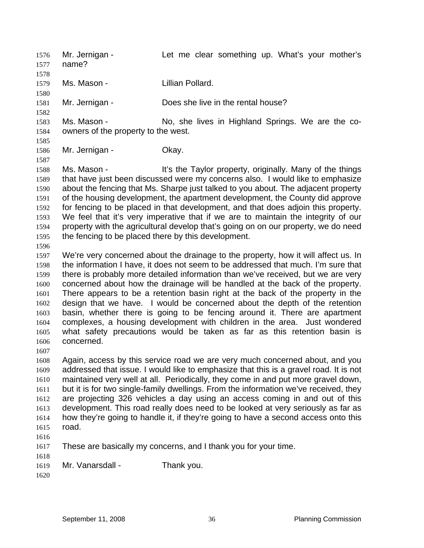Mr. Jernigan - Let me clear something up. What's your mother's name? 1576 1577 1578 1579 1580 1581 1582 1583 1584 1585 1586 1587 1588 1589 1590 1591 1592 1593 1594 1595 1596 1597 1598 1599 1600 1601 1602 1603 1604 1605 1606 1607 1608 1609 1610 1611 1612 1613 1614 1615 1616 1617 1618 1619 1620 Ms. Mason - The Lillian Pollard. Mr. Jernigan - Does she live in the rental house? Ms. Mason - No, she lives in Highland Springs. We are the coowners of the property to the west. Mr. Jernigan - Ckay. Ms. Mason - **It's the Taylor property, originally.** Many of the things that have just been discussed were my concerns also. I would like to emphasize about the fencing that Ms. Sharpe just talked to you about. The adjacent property of the housing development, the apartment development, the County did approve for fencing to be placed in that development, and that does adjoin this property. We feel that it's very imperative that if we are to maintain the integrity of our property with the agricultural develop that's going on on our property, we do need the fencing to be placed there by this development. We're very concerned about the drainage to the property, how it will affect us. In the information I have, it does not seem to be addressed that much. I'm sure that there is probably more detailed information than we've received, but we are very concerned about how the drainage will be handled at the back of the property. There appears to be a retention basin right at the back of the property in the design that we have. I would be concerned about the depth of the retention basin, whether there is going to be fencing around it. There are apartment complexes, a housing development with children in the area. Just wondered what safety precautions would be taken as far as this retention basin is concerned. Again, access by this service road we are very much concerned about, and you addressed that issue. I would like to emphasize that this is a gravel road. It is not maintained very well at all. Periodically, they come in and put more gravel down, but it is for two single-family dwellings. From the information we've received, they are projecting 326 vehicles a day using an access coming in and out of this development. This road really does need to be looked at very seriously as far as how they're going to handle it, if they're going to have a second access onto this road. These are basically my concerns, and I thank you for your time. Mr. Vanarsdall - Thank you.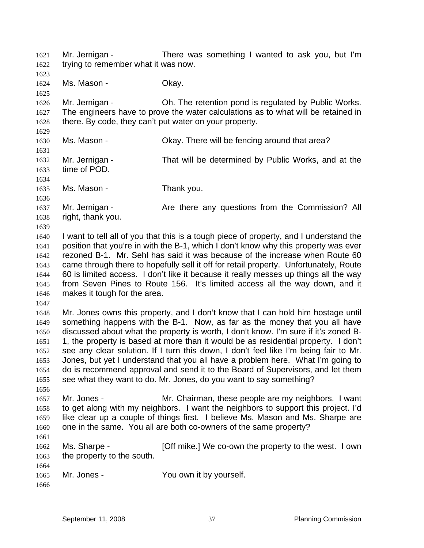Mr. Jernigan - There was something I wanted to ask you, but I'm trying to remember what it was now. 1621 1622

1624 1625 1626 1627 1628 1629 1630 1631 1632 1633 1634 1635 1636 1637 1638 1639 1640 1641 1642 1643 1644 1645 1646 1647 1648 1649 1650 1651 1652 1653 1654 1655 1656 Ms. Mason - Chay. Mr. Jernigan - Ch. The retention pond is regulated by Public Works. The engineers have to prove the water calculations as to what will be retained in there. By code, they can't put water on your property. Ms. Mason - Chay. There will be fencing around that area? Mr. Jernigan - That will be determined by Public Works, and at the time of POD. Ms. Mason - Thank you. Mr. Jernigan - The Are there any questions from the Commission? All right, thank you. I want to tell all of you that this is a tough piece of property, and I understand the position that you're in with the B-1, which I don't know why this property was ever rezoned B-1. Mr. Sehl has said it was because of the increase when Route 60 came through there to hopefully sell it off for retail property. Unfortunately, Route 60 is limited access. I don't like it because it really messes up things all the way from Seven Pines to Route 156. It's limited access all the way down, and it makes it tough for the area. Mr. Jones owns this property, and I don't know that I can hold him hostage until something happens with the B-1. Now, as far as the money that you all have discussed about what the property is worth, I don't know. I'm sure if it's zoned B-1, the property is based at more than it would be as residential property. I don't see any clear solution. If I turn this down, I don't feel like I'm being fair to Mr. Jones, but yet I understand that you all have a problem here. What I'm going to do is recommend approval and send it to the Board of Supervisors, and let them see what they want to do. Mr. Jones, do you want to say something?

1657 1658 1659 1660 1661 Mr. Jones - The Mr. Chairman, these people are my neighbors. I want to get along with my neighbors. I want the neighbors to support this project. I'd like clear up a couple of things first. I believe Ms. Mason and Ms. Sharpe are one in the same. You all are both co-owners of the same property?

| 1662 | Ms. Sharpe -               | [Off mike.] We co-own the property to the west. I own |  |
|------|----------------------------|-------------------------------------------------------|--|
| 1663 | the property to the south. |                                                       |  |
| 1664 |                            |                                                       |  |

| 1665 | Mr. Jones - | You own it by yourself. |
|------|-------------|-------------------------|
|------|-------------|-------------------------|

1666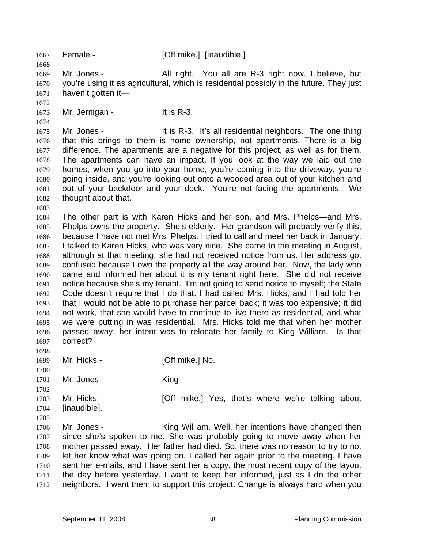1667 Female - [Off mike.] [Inaudible.]

1669 1670 1671 Mr. Jones - All right. You all are R-3 right now, I believe, but you're using it as agricultural, which is residential possibly in the future. They just haven't gotten it—

1672

1668

1673 1674 Mr. Jernigan - It is R-3.

1675 1676 1677 1678 1679 1680 1681 1682 Mr. Jones - The Solution State It is R-3. It's all residential neighbors. The one thing that this brings to them is home ownership, not apartments. There is a big difference. The apartments are a negative for this project, as well as for them. The apartments can have an impact. If you look at the way we laid out the homes, when you go into your home, you're coming into the driveway, you're going inside, and you're looking out onto a wooded area out of your kitchen and out of your backdoor and your deck. You're not facing the apartments. We thought about that.

1683

1684 1685 1686 1687 1688 1689 1690 1691 1692 1693 1694 1695 1696 1697 The other part is with Karen Hicks and her son, and Mrs. Phelps—and Mrs. Phelps owns the property. She's elderly. Her grandson will probably verify this, because I have not met Mrs. Phelps. I tried to call and meet her back in January. I talked to Karen Hicks, who was very nice. She came to the meeting in August, although at that meeting, she had not received notice from us. Her address got confused because I own the property all the way around her. Now, the lady who came and informed her about it is my tenant right here. She did not receive notice because she's my tenant. I'm not going to send notice to myself; the State Code doesn't require that I do that. I had called Mrs. Hicks, and I had told her that I would not be able to purchase her parcel back; it was too expensive; it did not work, that she would have to continue to live there as residential, and what we were putting in was residential. Mrs. Hicks told me that when her mother passed away, her intent was to relocate her family to King William. Is that correct?

1698

1702

1699 1700 Mr. Hicks - [Off mike.] No.

1701 Mr. Jones - King—

- 1703 1704 [inaudible].
- Mr. Hicks **[Off mike.]** Yes, that's where we're talking about
- 1705 1706 1707 1708 1709 1710 1711 1712 Mr. Jones - King William. Well, her intentions have changed then since she's spoken to me. She was probably going to move away when her mother passed away. Her father had died. So, there was no reason to try to not let her know what was going on. I called her again prior to the meeting. I have sent her e-mails, and I have sent her a copy, the most recent copy of the layout the day before yesterday. I want to keep her informed, just as I do the other neighbors. I want them to support this project. Change is always hard when you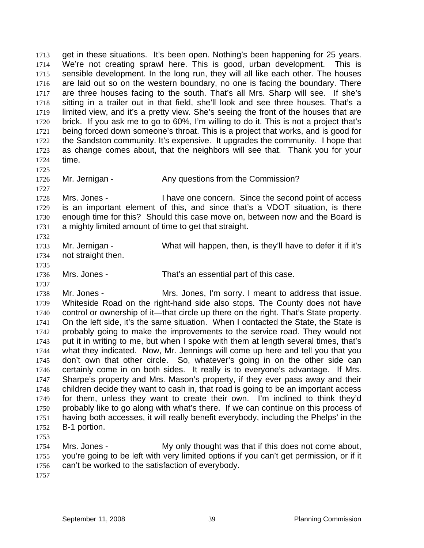get in these situations. It's been open. Nothing's been happening for 25 years. We're not creating sprawl here. This is good, urban development. This is sensible development. In the long run, they will all like each other. The houses are laid out so on the western boundary, no one is facing the boundary. There are three houses facing to the south. That's all Mrs. Sharp will see. If she's sitting in a trailer out in that field, she'll look and see three houses. That's a limited view, and it's a pretty view. She's seeing the front of the houses that are brick. If you ask me to go to 60%, I'm willing to do it. This is not a project that's being forced down someone's throat. This is a project that works, and is good for the Sandston community. It's expensive. It upgrades the community. I hope that as change comes about, that the neighbors will see that. Thank you for your time. 1713 1714 1715 1716 1717 1718 1719 1720 1721 1722 1723 1724

- 1725
- 1726 1727

1735

Mr. Jernigan - The Any questions from the Commission?

1728 1729 1730 1731 1732 Mrs. Jones - Thave one concern. Since the second point of access is an important element of this, and since that's a VDOT situation, is there enough time for this? Should this case move on, between now and the Board is a mighty limited amount of time to get that straight.

1733 1734 Mr. Jernigan - What will happen, then, is they'll have to defer it if it's not straight then.

1736

1737 Mrs. Jones - That's an essential part of this case.

1738 1739 1740 1741 1742 1743 1744 1745 1746 1747 1748 1749 1750 1751 1752 Mr. Jones - The Mrs. Jones, I'm sorry. I meant to address that issue. Whiteside Road on the right-hand side also stops. The County does not have control or ownership of it—that circle up there on the right. That's State property. On the left side, it's the same situation. When I contacted the State, the State is probably going to make the improvements to the service road. They would not put it in writing to me, but when I spoke with them at length several times, that's what they indicated. Now, Mr. Jennings will come up here and tell you that you don't own that other circle. So, whatever's going in on the other side can certainly come in on both sides. It really is to everyone's advantage. If Mrs. Sharpe's property and Mrs. Mason's property, if they ever pass away and their children decide they want to cash in, that road is going to be an important access for them, unless they want to create their own. I'm inclined to think they'd probably like to go along with what's there. If we can continue on this process of having both accesses, it will really benefit everybody, including the Phelps' in the B-1 portion.

1753

1754 1755 1756 Mrs. Jones - My only thought was that if this does not come about, you're going to be left with very limited options if you can't get permission, or if it can't be worked to the satisfaction of everybody.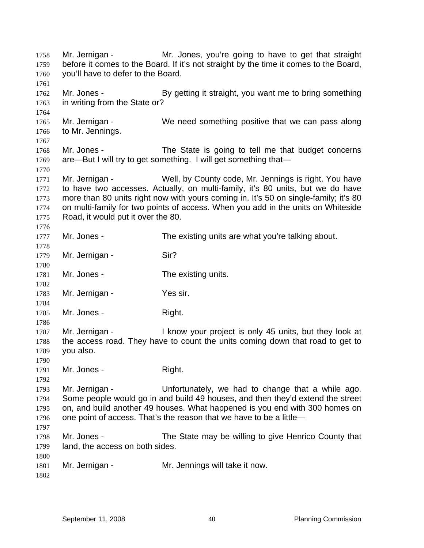Mr. Jernigan - Mr. Jones, you're going to have to get that straight before it comes to the Board. If it's not straight by the time it comes to the Board, you'll have to defer to the Board. 1758 1759 1760 1761 1762 1763 1764 1765 1766 1767 1768 1769 1770 1771 1772 1773 1774 1775 1776 1777 1778 1779 1780 1781 1782 1783 1784 1785 1786 1787 1788 1789 1790 1791 1792 1793 1794 1795 1796 1797 1798 1799 1800 1801 1802 Mr. Jones - By getting it straight, you want me to bring something in writing from the State or? Mr. Jernigan - We need something positive that we can pass along to Mr. Jennings. Mr. Jones - The State is going to tell me that budget concerns are—But I will try to get something. I will get something that— Mr. Jernigan - Well, by County code, Mr. Jennings is right. You have to have two accesses. Actually, on multi-family, it's 80 units, but we do have more than 80 units right now with yours coming in. It's 50 on single-family; it's 80 on multi-family for two points of access. When you add in the units on Whiteside Road, it would put it over the 80. Mr. Jones - The existing units are what you're talking about. Mr. Jernigan - Sir? Mr. Jones - The existing units. Mr. Jernigan - Yes sir. Mr. Jones - Right. Mr. Jernigan - The Show your project is only 45 units, but they look at the access road. They have to count the units coming down that road to get to you also. Mr. Jones - Right. Mr. Jernigan - Unfortunately, we had to change that a while ago. Some people would go in and build 49 houses, and then they'd extend the street on, and build another 49 houses. What happened is you end with 300 homes on one point of access. That's the reason that we have to be a little— Mr. Jones - The State may be willing to give Henrico County that land, the access on both sides. Mr. Jernigan - Mr. Jennings will take it now.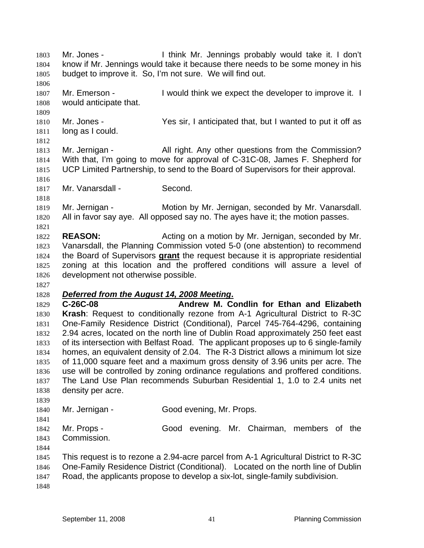Mr. Jones - I think Mr. Jennings probably would take it. I don't know if Mr. Jennings would take it because there needs to be some money in his budget to improve it. So, I'm not sure. We will find out. 1803 1804 1805 1806 1807 1808 1809 1810 1811 1812 1813 1814 1815 1816 1817 1818 1819 1820 1821 1822 1823 Mr. Emerson - Twould think we expect the developer to improve it. I would anticipate that. Mr. Jones - Yes sir, I anticipated that, but I wanted to put it off as long as I could. Mr. Jernigan - All right. Any other questions from the Commission? With that, I'm going to move for approval of C-31C-08, James F. Shepherd for UCP Limited Partnership, to send to the Board of Supervisors for their approval. Mr. Vanarsdall - Second. Mr. Jernigan - Motion by Mr. Jernigan, seconded by Mr. Vanarsdall. All in favor say aye. All opposed say no. The ayes have it; the motion passes. **REASON:** Acting on a motion by Mr. Jernigan, seconded by Mr. Vanarsdall, the Planning Commission voted 5-0 (one abstention) to recommend the Board of Supervisors **grant** the request because it is appropriate residential zoning at this location and the proffered conditions will assure a level of development not otherwise possible. 1824 1825 1826 1827 1828 *Deferred from the August 14, 2008 Meeting***.** 1829 1830 1831 1832 1833 1834 1835 1836 1837 1838 1839 1840 1841 1842 1843 1844 1845 1846 1847 1848 **C-26C-08 Andrew M. Condlin for Ethan and Elizabeth Krash**: Request to conditionally rezone from A-1 Agricultural District to R-3C One-Family Residence District (Conditional), Parcel 745-764-4296, containing 2.94 acres, located on the north line of Dublin Road approximately 250 feet east of its intersection with Belfast Road. The applicant proposes up to 6 single-family homes, an equivalent density of 2.04. The R-3 District allows a minimum lot size of 11,000 square feet and a maximum gross density of 3.96 units per acre. The use will be controlled by zoning ordinance regulations and proffered conditions. The Land Use Plan recommends Suburban Residential 1, 1.0 to 2.4 units net density per acre. Mr. Jernigan - Good evening, Mr. Props. Mr. Props - Good evening. Mr. Chairman, members of the Commission. This request is to rezone a 2.94-acre parcel from A-1 Agricultural District to R-3C One-Family Residence District (Conditional). Located on the north line of Dublin Road, the applicants propose to develop a six-lot, single-family subdivision.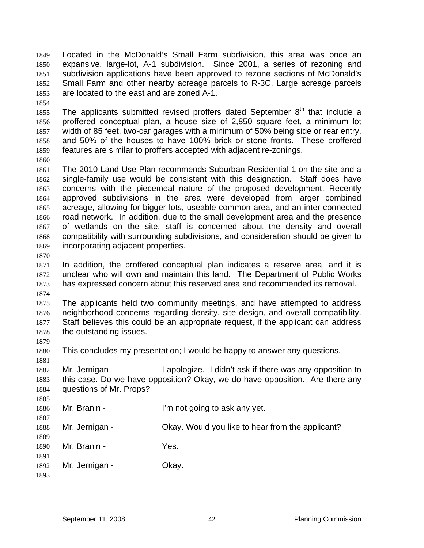Located in the McDonald's Small Farm subdivision, this area was once an expansive, large-lot, A-1 subdivision. Since 2001, a series of rezoning and subdivision applications have been approved to rezone sections of McDonald's Small Farm and other nearby acreage parcels to R-3C. Large acreage parcels are located to the east and are zoned A-1. 1849 1850 1851 1852 1853

1854

1855 1856 1857 1858 1859 The applicants submitted revised proffers dated September  $8<sup>th</sup>$  that include a proffered conceptual plan, a house size of 2,850 square feet, a minimum lot width of 85 feet, two-car garages with a minimum of 50% being side or rear entry, and 50% of the houses to have 100% brick or stone fronts. These proffered features are similar to proffers accepted with adjacent re-zonings.

1860

1861 1862 1863 1864 1865 1866 1867 1868 1869 The 2010 Land Use Plan recommends Suburban Residential 1 on the site and a single-family use would be consistent with this designation. Staff does have concerns with the piecemeal nature of the proposed development. Recently approved subdivisions in the area were developed from larger combined acreage, allowing for bigger lots, useable common area, and an inter-connected road network. In addition, due to the small development area and the presence of wetlands on the site, staff is concerned about the density and overall compatibility with surrounding subdivisions, and consideration should be given to incorporating adjacent properties.

1870

1871 1872 1873 1874 In addition, the proffered conceptual plan indicates a reserve area, and it is unclear who will own and maintain this land. The Department of Public Works has expressed concern about this reserved area and recommended its removal.

1875 1876 1877 1878 The applicants held two community meetings, and have attempted to address neighborhood concerns regarding density, site design, and overall compatibility. Staff believes this could be an appropriate request, if the applicant can address the outstanding issues.

1880 This concludes my presentation; I would be happy to answer any questions.

1881

1879

1882 1883 1884 Mr. Jernigan - I apologize. I didn't ask if there was any opposition to this case. Do we have opposition? Okay, we do have opposition. Are there any questions of Mr. Props?

1885 1886 1887 1888 1889 1890 1891 Mr. Branin - The I'm not going to ask any yet. Mr. Jernigan - Okay. Would you like to hear from the applicant? Mr. Branin - Yes.

1892 Mr. Jernigan - **Okay.**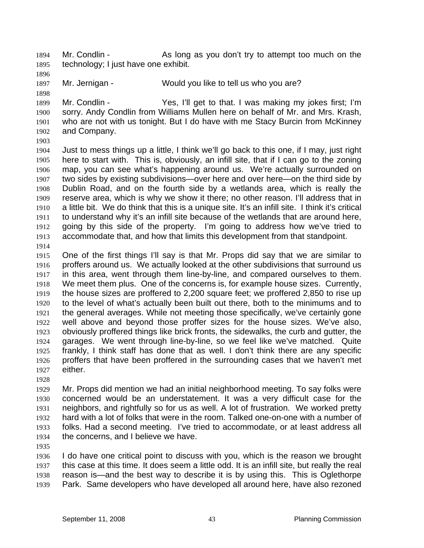Mr. Condlin - As long as you don't try to attempt too much on the technology; I just have one exhibit. 1894 1895

1896

1898

1897 Mr. Jernigan - Would you like to tell us who you are?

1899 1900 1901 1902 Mr. Condlin - Yes, I'll get to that. I was making my jokes first; I'm sorry. Andy Condlin from Williams Mullen here on behalf of Mr. and Mrs. Krash, who are not with us tonight. But I do have with me Stacy Burcin from McKinney and Company.

1903

1904 1905 1906 1907 1908 1909 1910 1911 1912 1913 1914 Just to mess things up a little, I think we'll go back to this one, if I may, just right here to start with. This is, obviously, an infill site, that if I can go to the zoning map, you can see what's happening around us. We're actually surrounded on two sides by existing subdivisions—over here and over here—on the third side by Dublin Road, and on the fourth side by a wetlands area, which is really the reserve area, which is why we show it there; no other reason. I'll address that in a little bit. We do think that this is a unique site. It's an infill site. I think it's critical to understand why it's an infill site because of the wetlands that are around here, going by this side of the property. I'm going to address how we've tried to accommodate that, and how that limits this development from that standpoint.

1915 1916 1917 1918 1919 1920 1921 1922 1923 1924 1925 1926 1927 One of the first things I'll say is that Mr. Props did say that we are similar to proffers around us. We actually looked at the other subdivisions that surround us in this area, went through them line-by-line, and compared ourselves to them. We meet them plus. One of the concerns is, for example house sizes. Currently, the house sizes are proffered to 2,200 square feet; we proffered 2,850 to rise up to the level of what's actually been built out there, both to the minimums and to the general averages. While not meeting those specifically, we've certainly gone well above and beyond those proffer sizes for the house sizes. We've also, obviously proffered things like brick fronts, the sidewalks, the curb and gutter, the garages. We went through line-by-line, so we feel like we've matched. Quite frankly, I think staff has done that as well. I don't think there are any specific proffers that have been proffered in the surrounding cases that we haven't met either.

1928

1929 1930 1931 1932 1933 1934 Mr. Props did mention we had an initial neighborhood meeting. To say folks were concerned would be an understatement. It was a very difficult case for the neighbors, and rightfully so for us as well. A lot of frustration. We worked pretty hard with a lot of folks that were in the room. Talked one-on-one with a number of folks. Had a second meeting. I've tried to accommodate, or at least address all the concerns, and I believe we have.

1935

1936 1937 1938 1939 I do have one critical point to discuss with you, which is the reason we brought this case at this time. It does seem a little odd. It is an infill site, but really the real reason is—and the best way to describe it is by using this. This is Oglethorpe Park. Same developers who have developed all around here, have also rezoned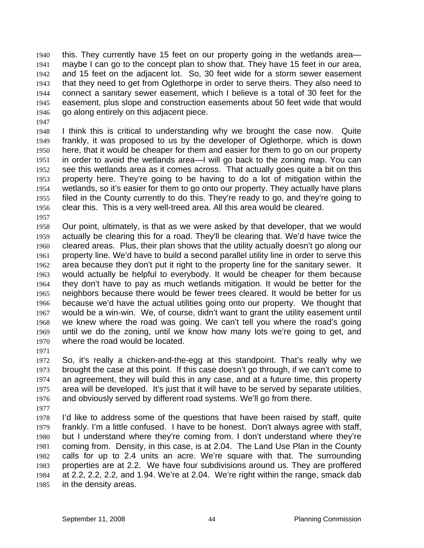this. They currently have 15 feet on our property going in the wetlands area maybe I can go to the concept plan to show that. They have 15 feet in our area, and 15 feet on the adjacent lot. So, 30 feet wide for a storm sewer easement that they need to get from Oglethorpe in order to serve theirs. They also need to connect a sanitary sewer easement, which I believe is a total of 30 feet for the easement, plus slope and construction easements about 50 feet wide that would go along entirely on this adjacent piece. 1940 1941 1942 1943 1944 1945 1946

1947

1948 1949 1950 1951 1952 1953 1954 1955 1956 I think this is critical to understanding why we brought the case now. Quite frankly, it was proposed to us by the developer of Oglethorpe, which is down here, that it would be cheaper for them and easier for them to go on our property in order to avoid the wetlands area—I will go back to the zoning map. You can see this wetlands area as it comes across. That actually goes quite a bit on this property here. They're going to be having to do a lot of mitigation within the wetlands, so it's easier for them to go onto our property. They actually have plans filed in the County currently to do this. They're ready to go, and they're going to clear this. This is a very well-treed area. All this area would be cleared.

1957

1958 1959 1960 1961 1962 1963 1964 1965 1966 1967 1968 1969 1970 Our point, ultimately, is that as we were asked by that developer, that we would actually be clearing this for a road. They'll be clearing that. We'd have twice the cleared areas. Plus, their plan shows that the utility actually doesn't go along our property line. We'd have to build a second parallel utility line in order to serve this area because they don't put it right to the property line for the sanitary sewer. It would actually be helpful to everybody. It would be cheaper for them because they don't have to pay as much wetlands mitigation. It would be better for the neighbors because there would be fewer trees cleared. It would be better for us because we'd have the actual utilities going onto our property. We thought that would be a win-win. We, of course, didn't want to grant the utility easement until we knew where the road was going. We can't tell you where the road's going until we do the zoning, until we know how many lots we're going to get, and where the road would be located.

1971

1972 1973 1974 1975 1976 So, it's really a chicken-and-the-egg at this standpoint. That's really why we brought the case at this point. If this case doesn't go through, if we can't come to an agreement, they will build this in any case, and at a future time, this property area will be developed. It's just that it will have to be served by separate utilities, and obviously served by different road systems. We'll go from there.

1977

1978 1979 1980 1981 1982 1983 1984 1985 I'd like to address some of the questions that have been raised by staff, quite frankly. I'm a little confused. I have to be honest. Don't always agree with staff, but I understand where they're coming from. I don't understand where they're coming from. Density, in this case, is at 2.04. The Land Use Plan in the County calls for up to 2.4 units an acre. We're square with that. The surrounding properties are at 2.2. We have four subdivisions around us. They are proffered at 2.2, 2.2, 2.2, and 1.94. We're at 2.04. We're right within the range, smack dab in the density areas.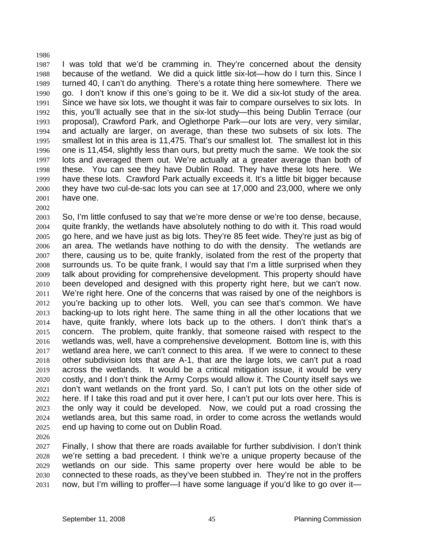1987 1988 1989 1990 1991 1992 1993 1994 1995 1996 1997 1998 1999 2000 2001 I was told that we'd be cramming in. They're concerned about the density because of the wetland. We did a quick little six-lot—how do I turn this. Since I turned 40, I can't do anything. There's a rotate thing here somewhere. There we go. I don't know if this one's going to be it. We did a six-lot study of the area. Since we have six lots, we thought it was fair to compare ourselves to six lots. In this, you'll actually see that in the six-lot study—this being Dublin Terrace (our proposal), Crawford Park, and Oglethorpe Park—our lots are very, very similar, and actually are larger, on average, than these two subsets of six lots. The smallest lot in this area is 11,475. That's our smallest lot. The smallest lot in this one is 11,454, slightly less than ours, but pretty much the same. We took the six lots and averaged them out. We're actually at a greater average than both of these. You can see they have Dublin Road. They have these lots here. We have these lots. Crawford Park actually exceeds it. It's a little bit bigger because they have two cul-de-sac lots you can see at 17,000 and 23,000, where we only have one.

2003 2004 2005 2006 2007 2008 2009 2010 2011 2012 2013 2014 2015 2016 2017 2018 2019 2020 2021 2022 2023 2024 2025 So, I'm little confused to say that we're more dense or we're too dense, because, quite frankly, the wetlands have absolutely nothing to do with it. This road would go here, and we have just as big lots. They're 85 feet wide. They're just as big of an area. The wetlands have nothing to do with the density. The wetlands are there, causing us to be, quite frankly, isolated from the rest of the property that surrounds us. To be quite frank, I would say that I'm a little surprised when they talk about providing for comprehensive development. This property should have been developed and designed with this property right here, but we can't now. We're right here. One of the concerns that was raised by one of the neighbors is you're backing up to other lots. Well, you can see that's common. We have backing-up to lots right here. The same thing in all the other locations that we have, quite frankly, where lots back up to the others. I don't think that's a concern. The problem, quite frankly, that someone raised with respect to the wetlands was, well, have a comprehensive development. Bottom line is, with this wetland area here, we can't connect to this area. If we were to connect to these other subdivision lots that are A-1, that are the large lots, we can't put a road across the wetlands. It would be a critical mitigation issue, it would be very costly, and I don't think the Army Corps would allow it. The County itself says we don't want wetlands on the front yard. So, I can't put lots on the other side of here. If I take this road and put it over here, I can't put our lots over here. This is the only way it could be developed. Now, we could put a road crossing the wetlands area, but this same road, in order to come across the wetlands would end up having to come out on Dublin Road.

2026

1986

2002

2027 2028 2029 2030 2031 Finally, I show that there are roads available for further subdivision. I don't think we're setting a bad precedent. I think we're a unique property because of the wetlands on our side. This same property over here would be able to be connected to these roads, as they've been stubbed in. They're not in the proffers now, but I'm willing to proffer—I have some language if you'd like to go over it—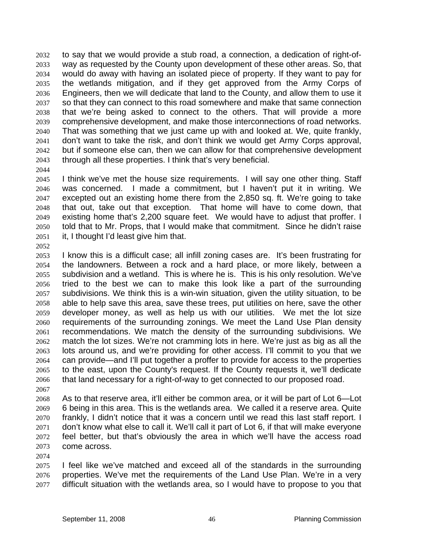to say that we would provide a stub road, a connection, a dedication of right-ofway as requested by the County upon development of these other areas. So, that would do away with having an isolated piece of property. If they want to pay for the wetlands mitigation, and if they get approved from the Army Corps of Engineers, then we will dedicate that land to the County, and allow them to use it so that they can connect to this road somewhere and make that same connection that we're being asked to connect to the others. That will provide a more comprehensive development, and make those interconnections of road networks. That was something that we just came up with and looked at. We, quite frankly, don't want to take the risk, and don't think we would get Army Corps approval, but if someone else can, then we can allow for that comprehensive development through all these properties. I think that's very beneficial. 2032 2033 2034 2035 2036 2037 2038 2039 2040 2041 2042 2043

2044

2045 2046 2047 2048 2049 2050 2051 I think we've met the house size requirements. I will say one other thing. Staff was concerned. I made a commitment, but I haven't put it in writing. We excepted out an existing home there from the 2,850 sq. ft. We're going to take that out, take out that exception. That home will have to come down, that existing home that's 2,200 square feet. We would have to adjust that proffer. I told that to Mr. Props, that I would make that commitment. Since he didn't raise it, I thought I'd least give him that.

2052

2053 2054 2055 2056 2057 2058 2059 2060 2061 2062 2063 2064 2065 2066 I know this is a difficult case; all infill zoning cases are. It's been frustrating for the landowners. Between a rock and a hard place, or more likely, between a subdivision and a wetland. This is where he is. This is his only resolution. We've tried to the best we can to make this look like a part of the surrounding subdivisions. We think this is a win-win situation, given the utility situation, to be able to help save this area, save these trees, put utilities on here, save the other developer money, as well as help us with our utilities. We met the lot size requirements of the surrounding zonings. We meet the Land Use Plan density recommendations. We match the density of the surrounding subdivisions. We match the lot sizes. We're not cramming lots in here. We're just as big as all the lots around us, and we're providing for other access. I'll commit to you that we can provide—and I'll put together a proffer to provide for access to the properties to the east, upon the County's request. If the County requests it, we'll dedicate that land necessary for a right-of-way to get connected to our proposed road.

2067

2068 2069 2070 2071 2072 2073 As to that reserve area, it'll either be common area, or it will be part of Lot 6—Lot 6 being in this area. This is the wetlands area. We called it a reserve area. Quite frankly, I didn't notice that it was a concern until we read this last staff report. I don't know what else to call it. We'll call it part of Lot 6, if that will make everyone feel better, but that's obviously the area in which we'll have the access road come across.

2074

2075 2076 2077 I feel like we've matched and exceed all of the standards in the surrounding properties. We've met the requirements of the Land Use Plan. We're in a very difficult situation with the wetlands area, so I would have to propose to you that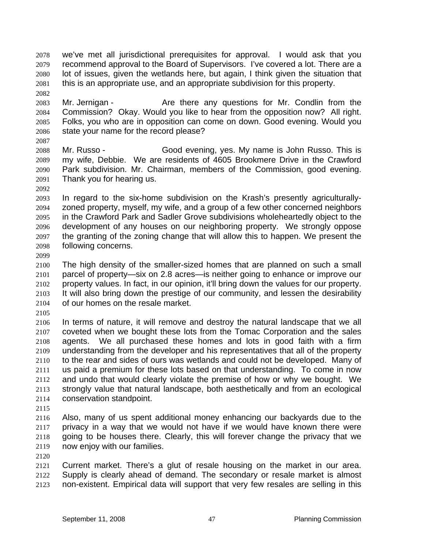we've met all jurisdictional prerequisites for approval. I would ask that you recommend approval to the Board of Supervisors. I've covered a lot. There are a lot of issues, given the wetlands here, but again, I think given the situation that this is an appropriate use, and an appropriate subdivision for this property. 2078 2079 2080 2081

2083 2084 2085 2086 Mr. Jernigan - The Are there any questions for Mr. Condlin from the Commission? Okay. Would you like to hear from the opposition now? All right. Folks, you who are in opposition can come on down. Good evening. Would you state your name for the record please?

2087

2082

2088 2089 2090 2091 Mr. Russo - Good evening, yes. My name is John Russo. This is my wife, Debbie. We are residents of 4605 Brookmere Drive in the Crawford Park subdivision. Mr. Chairman, members of the Commission, good evening. Thank you for hearing us.

2092

2093 2094 2095 2096 2097 2098 In regard to the six-home subdivision on the Krash's presently agriculturallyzoned property, myself, my wife, and a group of a few other concerned neighbors in the Crawford Park and Sadler Grove subdivisions wholeheartedly object to the development of any houses on our neighboring property. We strongly oppose the granting of the zoning change that will allow this to happen. We present the following concerns.

2099

2100 2101 2102 2103 2104 The high density of the smaller-sized homes that are planned on such a small parcel of property—six on 2.8 acres—is neither going to enhance or improve our property values. In fact, in our opinion, it'll bring down the values for our property. It will also bring down the prestige of our community, and lessen the desirability of our homes on the resale market.

2105

2106 2107 2108 2109 2110 2111 2112 2113 2114 In terms of nature, it will remove and destroy the natural landscape that we all coveted when we bought these lots from the Tomac Corporation and the sales agents. We all purchased these homes and lots in good faith with a firm understanding from the developer and his representatives that all of the property to the rear and sides of ours was wetlands and could not be developed. Many of us paid a premium for these lots based on that understanding. To come in now and undo that would clearly violate the premise of how or why we bought. We strongly value that natural landscape, both aesthetically and from an ecological conservation standpoint.

2115

2116 2117 2118 2119 Also, many of us spent additional money enhancing our backyards due to the privacy in a way that we would not have if we would have known there were going to be houses there. Clearly, this will forever change the privacy that we now enjoy with our families.

2120

2121 2122 2123 Current market. There's a glut of resale housing on the market in our area. Supply is clearly ahead of demand. The secondary or resale market is almost non-existent. Empirical data will support that very few resales are selling in this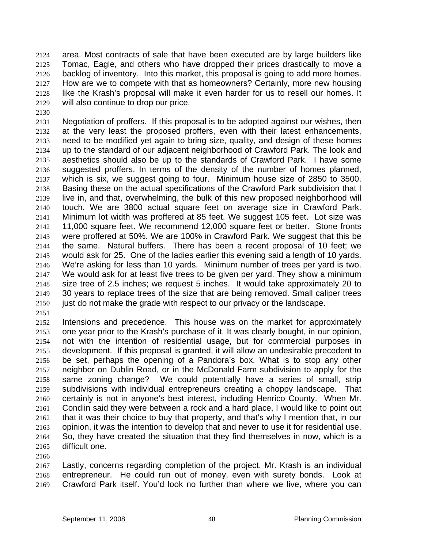area. Most contracts of sale that have been executed are by large builders like Tomac, Eagle, and others who have dropped their prices drastically to move a backlog of inventory. Into this market, this proposal is going to add more homes. How are we to compete with that as homeowners? Certainly, more new housing like the Krash's proposal will make it even harder for us to resell our homes. It will also continue to drop our price. 2124 2125 2126 2127 2128 2129

- 2131 2132 2133 2134 2135 2136 2137 2138 2139 2140 2141 2142 2143 2144 2145 2146 2147 2148 2149 2150 Negotiation of proffers. If this proposal is to be adopted against our wishes, then at the very least the proposed proffers, even with their latest enhancements, need to be modified yet again to bring size, quality, and design of these homes up to the standard of our adjacent neighborhood of Crawford Park. The look and aesthetics should also be up to the standards of Crawford Park. I have some suggested proffers. In terms of the density of the number of homes planned, which is six, we suggest going to four. Minimum house size of 2850 to 3500. Basing these on the actual specifications of the Crawford Park subdivision that I live in, and that, overwhelming, the bulk of this new proposed neighborhood will touch. We are 3800 actual square feet on average size in Crawford Park. Minimum lot width was proffered at 85 feet. We suggest 105 feet. Lot size was 11,000 square feet. We recommend 12,000 square feet or better. Stone fronts were proffered at 50%. We are 100% in Crawford Park. We suggest that this be the same. Natural buffers. There has been a recent proposal of 10 feet; we would ask for 25. One of the ladies earlier this evening said a length of 10 yards. We're asking for less than 10 yards. Minimum number of trees per yard is two. We would ask for at least five trees to be given per yard. They show a minimum size tree of 2.5 inches; we request 5 inches. It would take approximately 20 to 30 years to replace trees of the size that are being removed. Small caliper trees just do not make the grade with respect to our privacy or the landscape.
- 2151

2130

- 2152 2153 2154 2155 2156 2157 2158 2159 2160 2161 2162 2163 2164 2165 Intensions and precedence. This house was on the market for approximately one year prior to the Krash's purchase of it. It was clearly bought, in our opinion, not with the intention of residential usage, but for commercial purposes in development. If this proposal is granted, it will allow an undesirable precedent to be set, perhaps the opening of a Pandora's box. What is to stop any other neighbor on Dublin Road, or in the McDonald Farm subdivision to apply for the same zoning change? We could potentially have a series of small, strip subdivisions with individual entrepreneurs creating a choppy landscape. That certainly is not in anyone's best interest, including Henrico County. When Mr. Condlin said they were between a rock and a hard place, I would like to point out that it was their choice to buy that property, and that's why I mention that, in our opinion, it was the intention to develop that and never to use it for residential use. So, they have created the situation that they find themselves in now, which is a difficult one.
- 2166

2167 2168 2169 Lastly, concerns regarding completion of the project. Mr. Krash is an individual entrepreneur. He could run out of money, even with surety bonds. Look at Crawford Park itself. You'd look no further than where we live, where you can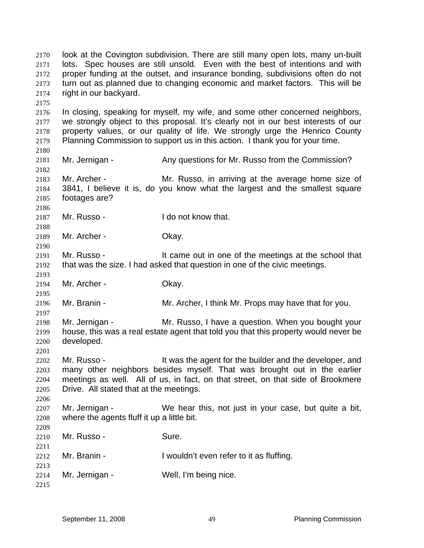look at the Covington subdivision. There are still many open lots, many un-built lots. Spec houses are still unsold. Even with the best of intentions and with proper funding at the outset, and insurance bonding, subdivisions often do not turn out as planned due to changing economic and market factors. This will be right in our backyard. 2170 2171 2172 2173 2174 2175 2176 2177 2178 2179 2180 2181 2182 2183 2184 2185 2186 2187 2188 2189 2190 2191 2192 2193 2194 2195 2196 2197 2198 2199 2200 2201 2202 2203 2204 2205 2206 2207 2208 2209 2210 2211 2212 2213 2214 2215 In closing, speaking for myself, my wife, and some other concerned neighbors, we strongly object to this proposal. It's clearly not in our best interests of our property values, or our quality of life. We strongly urge the Henrico County Planning Commission to support us in this action. I thank you for your time. Mr. Jernigan - Any questions for Mr. Russo from the Commission? Mr. Archer - The Mr. Russo, in arriving at the average home size of 3841, I believe it is, do you know what the largest and the smallest square footages are? Mr. Russo - The I do not know that. Mr. Archer - Okay. Mr. Russo - It came out in one of the meetings at the school that that was the size. I had asked that question in one of the civic meetings. Mr. Archer - Okay. Mr. Branin - Mr. Archer, I think Mr. Props may have that for you. Mr. Jernigan - Mr. Russo, I have a question. When you bought your house, this was a real estate agent that told you that this property would never be developed. Mr. Russo - The Mussic Heagent for the builder and the developer, and many other neighbors besides myself. That was brought out in the earlier meetings as well. All of us, in fact, on that street, on that side of Brookmere Drive. All stated that at the meetings. Mr. Jernigan - We hear this, not just in your case, but quite a bit, where the agents fluff it up a little bit. Mr. Russo - Sure. Mr. Branin - I wouldn't even refer to it as fluffing. Mr. Jernigan - Well, I'm being nice.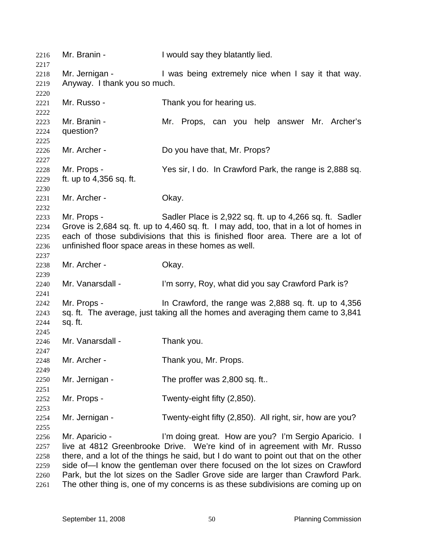Mr. Branin - I would say they blatantly lied. Mr. Jernigan - I was being extremely nice when I say it that way. Anyway. I thank you so much. Mr. Russo - Thank you for hearing us. Mr. Branin - The Mr. Props, can you help answer Mr. Archer's question? Mr. Archer - Do you have that, Mr. Props? Mr. Props - Yes sir, I do. In Crawford Park, the range is 2,888 sq. ft. up to 4,356 sq. ft. Mr. Archer - Okay. Mr. Props - Sadler Place is 2,922 sq. ft. up to 4,266 sq. ft. Sadler Grove is 2,684 sq. ft. up to 4,460 sq. ft. I may add, too, that in a lot of homes in each of those subdivisions that this is finished floor area. There are a lot of unfinished floor space areas in these homes as well. Mr. Archer - Chay. Mr. Vanarsdall - I'm sorry, Roy, what did you say Crawford Park is? Mr. Props - In Crawford, the range was 2,888 sq. ft. up to 4,356 sq. ft. The average, just taking all the homes and averaging them came to 3,841 sq. ft. Mr. Vanarsdall - Thank you. Mr. Archer - Thank you, Mr. Props. Mr. Jernigan - The proffer was 2,800 sq. ft.. Mr. Props - Twenty-eight fifty (2,850). Mr. Jernigan - Twenty-eight fifty (2,850). All right, sir, how are you? Mr. Aparicio - I'm doing great. How are you? I'm Sergio Aparicio. I live at 4812 Greenbrooke Drive. We're kind of in agreement with Mr. Russo there, and a lot of the things he said, but I do want to point out that on the other side of—I know the gentleman over there focused on the lot sizes on Crawford Park, but the lot sizes on the Sadler Grove side are larger than Crawford Park. The other thing is, one of my concerns is as these subdivisions are coming up on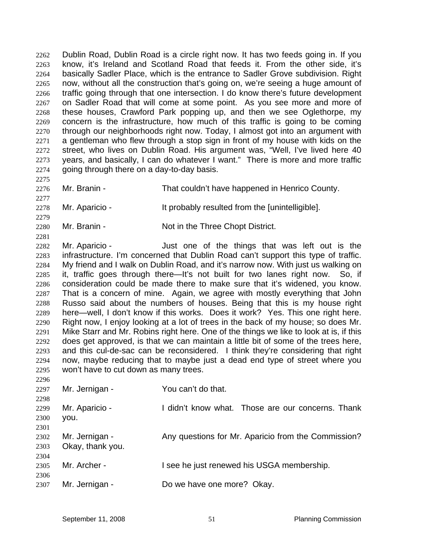Dublin Road, Dublin Road is a circle right now. It has two feeds going in. If you know, it's Ireland and Scotland Road that feeds it. From the other side, it's basically Sadler Place, which is the entrance to Sadler Grove subdivision. Right now, without all the construction that's going on, we're seeing a huge amount of traffic going through that one intersection. I do know there's future development on Sadler Road that will come at some point. As you see more and more of these houses, Crawford Park popping up, and then we see Oglethorpe, my concern is the infrastructure, how much of this traffic is going to be coming through our neighborhoods right now. Today, I almost got into an argument with a gentleman who flew through a stop sign in front of my house with kids on the street, who lives on Dublin Road. His argument was, "Well, I've lived here 40 years, and basically, I can do whatever I want." There is more and more traffic going through there on a day-to-day basis. 2262 2263 2264 2265 2266 2267 2268 2269 2270 2271 2272 2273 2274

2276 Mr. Branin - That couldn't have happened in Henrico County.

2278 Mr. Aparicio - It probably resulted from the [unintelligible].

2280 Mr. Branin - Not in the Three Chopt District.

2282 2283 2284 2285 2286 2287 2288 2289 2290 2291 2292 2293 2294 2295 Mr. Aparicio - Just one of the things that was left out is the infrastructure. I'm concerned that Dublin Road can't support this type of traffic. My friend and I walk on Dublin Road, and it's narrow now. With just us walking on it, traffic goes through there—It's not built for two lanes right now. So, if consideration could be made there to make sure that it's widened, you know. That is a concern of mine. Again, we agree with mostly everything that John Russo said about the numbers of houses. Being that this is my house right here—well, I don't know if this works. Does it work? Yes. This one right here. Right now, I enjoy looking at a lot of trees in the back of my house; so does Mr. Mike Starr and Mr. Robins right here. One of the things we like to look at is, if this does get approved, is that we can maintain a little bit of some of the trees here, and this cul-de-sac can be reconsidered. I think they're considering that right now, maybe reducing that to maybe just a dead end type of street where you won't have to cut down as many trees.

| 2297         | Mr. Jernigan -                     | You can't do that.                                  |
|--------------|------------------------------------|-----------------------------------------------------|
| 2298<br>2299 | Mr. Aparicio -                     | I didn't know what. Those are our concerns. Thank   |
| 2300<br>2301 | you.                               |                                                     |
| 2302<br>2303 | Mr. Jernigan -<br>Okay, thank you. | Any questions for Mr. Aparicio from the Commission? |
| 2304<br>2305 | Mr. Archer -                       | I see he just renewed his USGA membership.          |
| 2306<br>2307 | Mr. Jernigan -                     | Do we have one more? Okay.                          |

2275

2277

2279

2281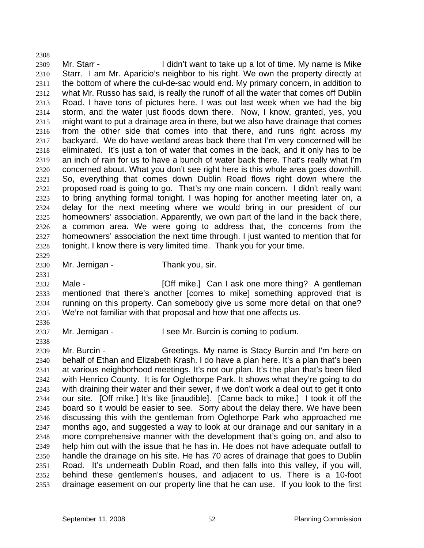2308 2309 2310 2311 2312 2313 2314 2315 2316 2317 2318 2319 2320 2321 2322 2323 2324 2325 2326 2327 2328 2329 Mr. Starr - The Unit want to take up a lot of time. My name is Mike Starr. I am Mr. Aparicio's neighbor to his right. We own the property directly at the bottom of where the cul-de-sac would end. My primary concern, in addition to what Mr. Russo has said, is really the runoff of all the water that comes off Dublin Road. I have tons of pictures here. I was out last week when we had the big storm, and the water just floods down there. Now, I know, granted, yes, you might want to put a drainage area in there, but we also have drainage that comes from the other side that comes into that there, and runs right across my backyard. We do have wetland areas back there that I'm very concerned will be eliminated. It's just a ton of water that comes in the back, and it only has to be an inch of rain for us to have a bunch of water back there. That's really what I'm concerned about. What you don't see right here is this whole area goes downhill. So, everything that comes down Dublin Road flows right down where the proposed road is going to go. That's my one main concern. I didn't really want to bring anything formal tonight. I was hoping for another meeting later on, a delay for the next meeting where we would bring in our president of our homeowners' association. Apparently, we own part of the land in the back there, a common area. We were going to address that, the concerns from the homeowners' association the next time through. I just wanted to mention that for tonight. I know there is very limited time. Thank you for your time.

2330

Mr. Jernigan - Thank you, sir.

2332 2333 2334 2335 Male - [Off mike.] Can I ask one more thing? A gentleman mentioned that there's another [comes to mike] something approved that is running on this property. Can somebody give us some more detail on that one? We're not familiar with that proposal and how that one affects us.

2336 2337

2338

2331

Mr. Jernigan - The State Mr. Burcin is coming to podium.

2339 2340 2341 2342 2343 2344 2345 2346 2347 2348 2349 2350 2351 2352 2353 Mr. Burcin - Greetings. My name is Stacy Burcin and I'm here on behalf of Ethan and Elizabeth Krash. I do have a plan here. It's a plan that's been at various neighborhood meetings. It's not our plan. It's the plan that's been filed with Henrico County. It is for Oglethorpe Park. It shows what they're going to do with draining their water and their sewer, if we don't work a deal out to get it onto our site. [Off mike.] It's like [inaudible]. [Came back to mike.] I took it off the board so it would be easier to see. Sorry about the delay there. We have been discussing this with the gentleman from Oglethorpe Park who approached me months ago, and suggested a way to look at our drainage and our sanitary in a more comprehensive manner with the development that's going on, and also to help him out with the issue that he has in. He does not have adequate outfall to handle the drainage on his site. He has 70 acres of drainage that goes to Dublin Road. It's underneath Dublin Road, and then falls into this valley, if you will, behind these gentlemen's houses, and adjacent to us. There is a 10-foot drainage easement on our property line that he can use. If you look to the first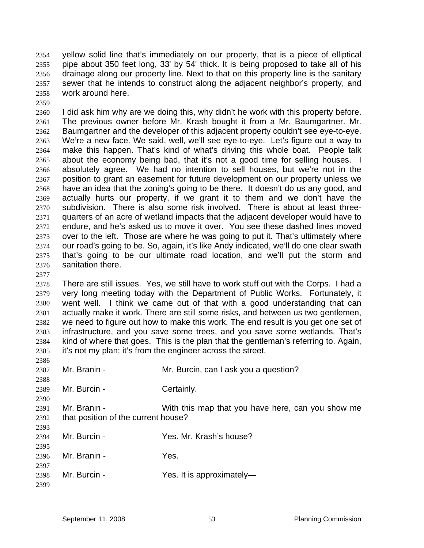yellow solid line that's immediately on our property, that is a piece of elliptical pipe about 350 feet long, 33' by 54' thick. It is being proposed to take all of his drainage along our property line. Next to that on this property line is the sanitary sewer that he intends to construct along the adjacent neighbor's property, and work around here. 2354 2355 2356 2357 2358

2359

2360 2361 2362 2363 2364 2365 2366 2367 2368 2369 2370 2371 2372 2373 2374 2375 2376 I did ask him why are we doing this, why didn't he work with this property before. The previous owner before Mr. Krash bought it from a Mr. Baumgartner. Mr. Baumgartner and the developer of this adjacent property couldn't see eye-to-eye. We're a new face. We said, well, we'll see eye-to-eye. Let's figure out a way to make this happen. That's kind of what's driving this whole boat. People talk about the economy being bad, that it's not a good time for selling houses. I absolutely agree. We had no intention to sell houses, but we're not in the position to grant an easement for future development on our property unless we have an idea that the zoning's going to be there. It doesn't do us any good, and actually hurts our property, if we grant it to them and we don't have the subdivision. There is also some risk involved. There is about at least threequarters of an acre of wetland impacts that the adjacent developer would have to endure, and he's asked us to move it over. You see these dashed lines moved over to the left. Those are where he was going to put it. That's ultimately where our road's going to be. So, again, it's like Andy indicated, we'll do one clear swath that's going to be our ultimate road location, and we'll put the storm and sanitation there.

2377

2399

2378 2379 2380 2381 2382 2383 2384 2385 There are still issues. Yes, we still have to work stuff out with the Corps. I had a very long meeting today with the Department of Public Works. Fortunately, it went well. I think we came out of that with a good understanding that can actually make it work. There are still some risks, and between us two gentlemen, we need to figure out how to make this work. The end result is you get one set of infrastructure, and you save some trees, and you save some wetlands. That's kind of where that goes. This is the plan that the gentleman's referring to. Again, it's not my plan; it's from the engineer across the street.

2386 2387 2388 2389 2390 2391 2392 2393 2394 2395 2396 2397 2398 Mr. Branin - Mr. Burcin, can I ask you a question? Mr. Burcin - Certainly. Mr. Branin - With this map that you have here, can you show me that position of the current house? Mr. Burcin - The Contract Contract Contract Ves. Mr. Krash's house? Mr. Branin - Yes. Mr. Burcin - Yes. It is approximately-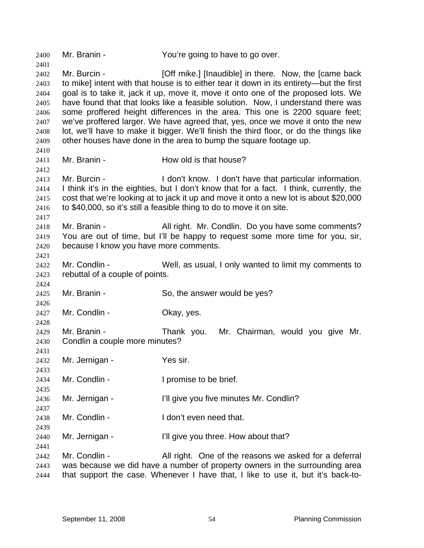2400 Mr. Branin - You're going to have to go over. 2401 2402 2403 2404 2405 2406 2407 2408 2409 2410 2411 2412 2413 2414 2415 2416 2417 2418 2419 2420 2421 2422 2423 2424 2425 2426 2427 2428 2429 2430 2431 2432 2433 2434 2435 2436 2437 2438 2439 2440 2441 2442 2443 2444 Mr. Burcin - **[Off mike.]** [Inaudible] in there. Now, the [came back to mike] intent with that house is to either tear it down in its entirety—but the first goal is to take it, jack it up, move it, move it onto one of the proposed lots. We have found that that looks like a feasible solution. Now, I understand there was some proffered height differences in the area. This one is 2200 square feet; we've proffered larger. We have agreed that, yes, once we move it onto the new lot, we'll have to make it bigger. We'll finish the third floor, or do the things like other houses have done in the area to bump the square footage up. Mr. Branin - How old is that house? Mr. Burcin - The Muslim Con't know. I don't have that particular information. I think it's in the eighties, but I don't know that for a fact. I think, currently, the cost that we're looking at to jack it up and move it onto a new lot is about \$20,000 to \$40,000, so it's still a feasible thing to do to move it on site. Mr. Branin - All right. Mr. Condlin. Do you have some comments? You are out of time, but I'll be happy to request some more time for you, sir, because I know you have more comments. Mr. Condlin - Well, as usual, I only wanted to limit my comments to rebuttal of a couple of points. Mr. Branin - So, the answer would be yes? Mr. Condlin - Cassette Chay, yes. Mr. Branin - Thank you. Mr. Chairman, would you give Mr. Condlin a couple more minutes? Mr. Jernigan - Yes sir. Mr. Condlin - The Later of Promise to be brief. Mr. Jernigan - I'll give you five minutes Mr. Condlin? Mr. Condlin - The Letter of Letter and Mr. Condlin -Mr. Jernigan - I'll give you three. How about that? Mr. Condlin - **All right.** One of the reasons we asked for a deferral was because we did have a number of property owners in the surrounding area that support the case. Whenever I have that, I like to use it, but it's back-to-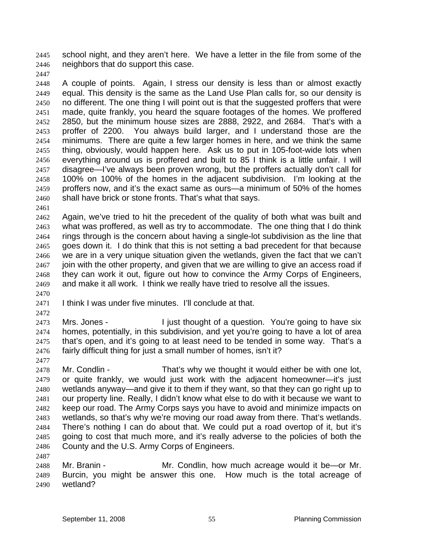school night, and they aren't here. We have a letter in the file from some of the neighbors that do support this case. 2445 2446

2447

2448 2449 2450 2451 2452 2453 2454 2455 2456 2457 2458 2459 2460 A couple of points. Again, I stress our density is less than or almost exactly equal. This density is the same as the Land Use Plan calls for, so our density is no different. The one thing I will point out is that the suggested proffers that were made, quite frankly, you heard the square footages of the homes. We proffered 2850, but the minimum house sizes are 2888, 2922, and 2684. That's with a proffer of 2200. You always build larger, and I understand those are the minimums. There are quite a few larger homes in here, and we think the same thing, obviously, would happen here. Ask us to put in 105-foot-wide lots when everything around us is proffered and built to 85 I think is a little unfair. I will disagree—I've always been proven wrong, but the proffers actually don't call for 100% on 100% of the homes in the adjacent subdivision. I'm looking at the proffers now, and it's the exact same as ours—a minimum of 50% of the homes shall have brick or stone fronts. That's what that says.

2461

2462 2463 2464 2465 2466 2467 2468 2469 Again, we've tried to hit the precedent of the quality of both what was built and what was proffered, as well as try to accommodate. The one thing that I do think rings through is the concern about having a single-lot subdivision as the line that goes down it. I do think that this is not setting a bad precedent for that because we are in a very unique situation given the wetlands, given the fact that we can't join with the other property, and given that we are willing to give an access road if they can work it out, figure out how to convince the Army Corps of Engineers, and make it all work. I think we really have tried to resolve all the issues.

- 2471 I think I was under five minutes. I'll conclude at that.
- 2472

2470

2473 2474 2475 2476 Mrs. Jones - I just thought of a question. You're going to have six homes, potentially, in this subdivision, and yet you're going to have a lot of area that's open, and it's going to at least need to be tended in some way. That's a fairly difficult thing for just a small number of homes, isn't it?

2477

2487

2478 2479 2480 2481 2482 2483 2484 2485 2486 Mr. Condlin - That's why we thought it would either be with one lot, or quite frankly, we would just work with the adjacent homeowner—it's just wetlands anyway—and give it to them if they want, so that they can go right up to our property line. Really, I didn't know what else to do with it because we want to keep our road. The Army Corps says you have to avoid and minimize impacts on wetlands, so that's why we're moving our road away from there. That's wetlands. There's nothing I can do about that. We could put a road overtop of it, but it's going to cost that much more, and it's really adverse to the policies of both the County and the U.S. Army Corps of Engineers.

2488 2489 2490 Mr. Branin - Mr. Condlin, how much acreage would it be—or Mr. Burcin, you might be answer this one. How much is the total acreage of wetland?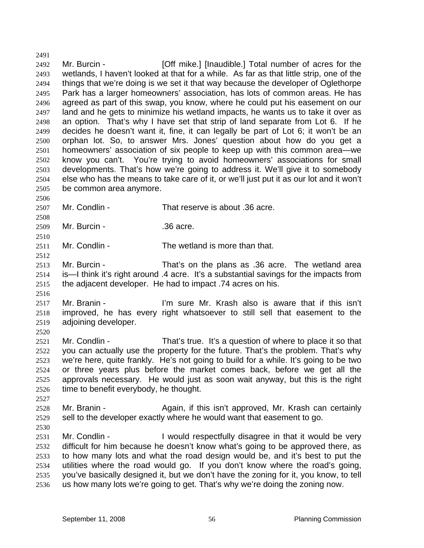2492 2493 2494 2495 2496 2497 2498 2499 2500 2501 2502 2503 2504 2505 Mr. Burcin - **[Off mike.]** [Inaudible.] Total number of acres for the wetlands, I haven't looked at that for a while. As far as that little strip, one of the things that we're doing is we set it that way because the developer of Oglethorpe Park has a larger homeowners' association, has lots of common areas. He has agreed as part of this swap, you know, where he could put his easement on our land and he gets to minimize his wetland impacts, he wants us to take it over as an option. That's why I have set that strip of land separate from Lot 6. If he decides he doesn't want it, fine, it can legally be part of Lot 6; it won't be an orphan lot. So, to answer Mrs. Jones' question about how do you get a homeowners' association of six people to keep up with this common area—we know you can't. You're trying to avoid homeowners' associations for small developments. That's how we're going to address it. We'll give it to somebody else who has the means to take care of it, or we'll just put it as our lot and it won't be common area anymore.

2507 Mr. Condlin - That reserve is about .36 acre.

2509 Mr. Burcin - .36 acre.

2511 Mr. Condlin - The wetland is more than that.

2513 2514 2515 Mr. Burcin - That's on the plans as .36 acre. The wetland area is—I think it's right around .4 acre. It's a substantial savings for the impacts from the adjacent developer. He had to impact .74 acres on his.

2517 2518 2519 Mr. Branin - The State Mr. Krash also is aware that if this isn't improved, he has every right whatsoever to still sell that easement to the adjoining developer.

2520

2491

2506

2508

2510

2512

2516

2521 2522 2523 2524 2525 2526 Mr. Condlin - That's true. It's a question of where to place it so that you can actually use the property for the future. That's the problem. That's why we're here, quite frankly. He's not going to build for a while. It's going to be two or three years plus before the market comes back, before we get all the approvals necessary. He would just as soon wait anyway, but this is the right time to benefit everybody, he thought.

2528 2529 Mr. Branin - The Again, if this isn't approved, Mr. Krash can certainly sell to the developer exactly where he would want that easement to go.

2530

2527

2531 2532 Mr. Condlin - I would respectfully disagree in that it would be very difficult for him because he doesn't know what's going to be approved there, as

2533 2534 2535 2536 to how many lots and what the road design would be, and it's best to put the utilities where the road would go. If you don't know where the road's going, you've basically designed it, but we don't have the zoning for it, you know, to tell us how many lots we're going to get. That's why we're doing the zoning now.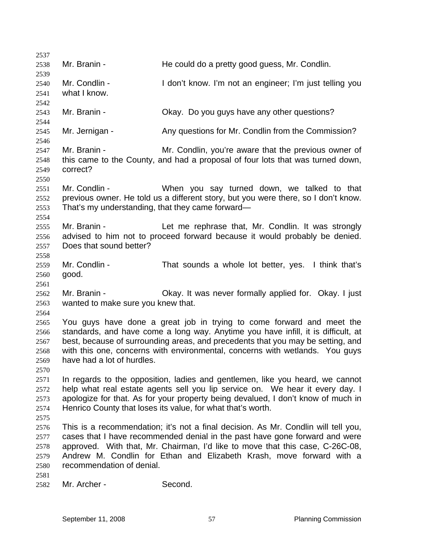| 2537                                         |                                                                   |                                                                                                                                                                                                                                                                                                                               |
|----------------------------------------------|-------------------------------------------------------------------|-------------------------------------------------------------------------------------------------------------------------------------------------------------------------------------------------------------------------------------------------------------------------------------------------------------------------------|
| 2538<br>2539                                 | Mr. Branin -                                                      | He could do a pretty good guess, Mr. Condlin.                                                                                                                                                                                                                                                                                 |
| 2540<br>2541<br>2542                         | Mr. Condlin -<br>what I know.                                     | I don't know. I'm not an engineer; I'm just telling you                                                                                                                                                                                                                                                                       |
| 2543<br>2544                                 | Mr. Branin -                                                      | Okay. Do you guys have any other questions?                                                                                                                                                                                                                                                                                   |
| 2545<br>2546                                 | Mr. Jernigan -                                                    | Any questions for Mr. Condlin from the Commission?                                                                                                                                                                                                                                                                            |
| 2547<br>2548<br>2549<br>2550                 | Mr. Branin -<br>correct?                                          | Mr. Condlin, you're aware that the previous owner of<br>this came to the County, and had a proposal of four lots that was turned down,                                                                                                                                                                                        |
| 2551<br>2552<br>2553<br>2554                 | Mr. Condlin -<br>That's my understanding, that they came forward— | When you say turned down, we talked to that<br>previous owner. He told us a different story, but you were there, so I don't know.                                                                                                                                                                                             |
| 2555<br>2556<br>2557<br>2558                 | Mr. Branin -<br>Does that sound better?                           | Let me rephrase that, Mr. Condlin. It was strongly<br>advised to him not to proceed forward because it would probably be denied.                                                                                                                                                                                              |
| 2559<br>2560                                 | Mr. Condlin -<br>good.                                            | That sounds a whole lot better, yes. I think that's                                                                                                                                                                                                                                                                           |
| 2561<br>2562<br>2563<br>2564                 | Mr. Branin -<br>wanted to make sure you knew that.                | Okay. It was never formally applied for. Okay. I just                                                                                                                                                                                                                                                                         |
| 2565<br>2566<br>2567<br>2568<br>2569<br>2570 | have had a lot of hurdles.                                        | You guys have done a great job in trying to come forward and meet the<br>standards, and have come a long way. Anytime you have infill, it is difficult, at<br>best, because of surrounding areas, and precedents that you may be setting, and<br>with this one, concerns with environmental, concerns with wetlands. You guys |
| 2571<br>2572<br>2573<br>2574<br>2575         |                                                                   | In regards to the opposition, ladies and gentlemen, like you heard, we cannot<br>help what real estate agents sell you lip service on. We hear it every day. I<br>apologize for that. As for your property being devalued, I don't know of much in<br>Henrico County that loses its value, for what that's worth.             |
| 2576<br>2577<br>2578<br>2579<br>2580         | recommendation of denial.                                         | This is a recommendation; it's not a final decision. As Mr. Condlin will tell you,<br>cases that I have recommended denial in the past have gone forward and were<br>approved. With that, Mr. Chairman, I'd like to move that this case, C-26C-08,<br>Andrew M. Condlin for Ethan and Elizabeth Krash, move forward with a    |
| 2581<br>2582                                 | Mr. Archer -                                                      | Second.                                                                                                                                                                                                                                                                                                                       |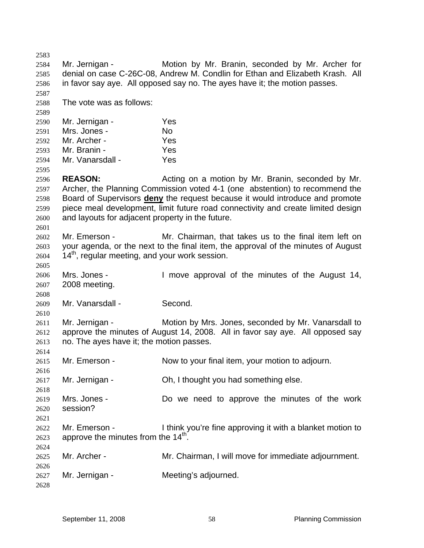2583 2584 2585 2586 2587 2588 2589 2590 2591 2592 2593 2594 2595 2596 2597 Mr. Jernigan - Motion by Mr. Branin, seconded by Mr. Archer for denial on case C-26C-08, Andrew M. Condlin for Ethan and Elizabeth Krash. All in favor say aye. All opposed say no. The ayes have it; the motion passes. The vote was as follows: Mr. Jernigan - Yes Mrs. Jones - No. Mr. Archer - Yes Mr. Branin - Yes Mr. Vanarsdall - Yes **REASON:** Acting on a motion by Mr. Branin, seconded by Mr. Archer, the Planning Commission voted 4-1 (one abstention) to recommend the Board of Supervisors **deny** the request because it would introduce and promote piece meal development, limit future road connectivity and create limited design and layouts for adjacent property in the future. 2598 2599 2600 2601 2602 2603 2604 2605 2606 2607 2608 2609 2610 2611 2612 2613 2614 2615 2616 2617 2618 2619 2620 2621 2622 2623 2624 2625 2626 2627 2628 Mr. Emerson - The Mr. Chairman, that takes us to the final item left on your agenda, or the next to the final item, the approval of the minutes of August  $14<sup>th</sup>$ , regular meeting, and your work session. Mrs. Jones - I move approval of the minutes of the August 14, 2008 meeting. Mr. Vanarsdall - Second. Mr. Jernigan - Motion by Mrs. Jones, seconded by Mr. Vanarsdall to approve the minutes of August 14, 2008. All in favor say aye. All opposed say no. The ayes have it; the motion passes. Mr. Emerson - Now to your final item, your motion to adjourn. Mr. Jernigan - Ch, I thought you had something else. Mrs. Jones - Do we need to approve the minutes of the work session? Mr. Emerson - I think you're fine approving it with a blanket motion to approve the minutes from the  $14<sup>th</sup>$ . Mr. Archer - **Mr. Chairman, I will move for immediate adjournment.** Mr. Jernigan - **Meeting's adjourned.**